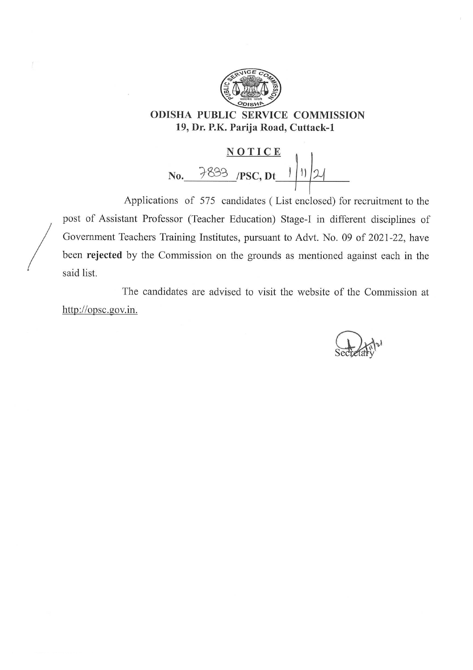

 $\sqrt{ }$ 

**ODISHA PUBLIC SERVICE COMMISSION** 19, Dr. P.K. Parija Road, Cuttack-1



Applications of 575 candidates (List enclosed) for recruitment to the post of Assistant Professor (Teacher Education) Stage-I in different disciplines of Government Teachers Training Institutes, pursuant to Advt. No. 09 of 2021-22, have been rejected by the Commission on the grounds as mentioned against each in the said list.

The candidates are advised to visit the website of the Commission at http://opsc.gov.in.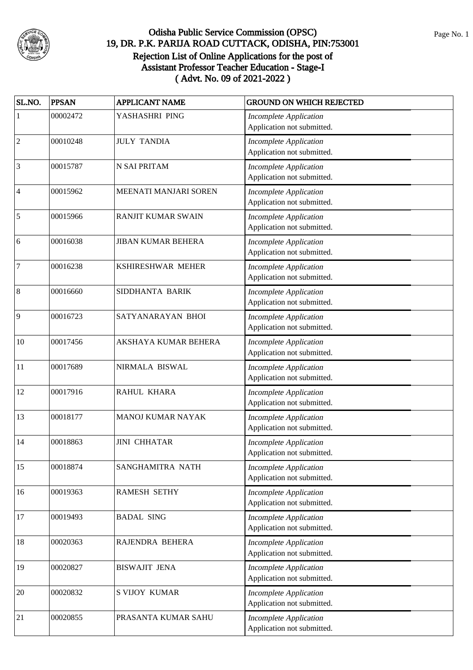

| SL.NO.                   | <b>PPSAN</b> | <b>APPLICANT NAME</b>     | <b>GROUND ON WHICH REJECTED</b>                             |
|--------------------------|--------------|---------------------------|-------------------------------------------------------------|
| 1                        | 00002472     | YASHASHRI PING            | <b>Incomplete Application</b><br>Application not submitted. |
| $\mathfrak{2}$           | 00010248     | <b>JULY TANDIA</b>        | <b>Incomplete Application</b><br>Application not submitted. |
| 3                        | 00015787     | <b>N SAI PRITAM</b>       | <b>Incomplete Application</b><br>Application not submitted. |
| $\overline{\mathcal{L}}$ | 00015962     | MEENATI MANJARI SOREN     | <b>Incomplete Application</b><br>Application not submitted. |
| 5                        | 00015966     | <b>RANJIT KUMAR SWAIN</b> | <b>Incomplete Application</b><br>Application not submitted. |
| 6                        | 00016038     | <b>JIBAN KUMAR BEHERA</b> | <b>Incomplete Application</b><br>Application not submitted. |
| 7                        | 00016238     | KSHIRESHWAR MEHER         | <b>Incomplete Application</b><br>Application not submitted. |
| 8                        | 00016660     | SIDDHANTA BARIK           | <b>Incomplete Application</b><br>Application not submitted. |
| 9                        | 00016723     | SATYANARAYAN BHOI         | <b>Incomplete Application</b><br>Application not submitted. |
| 10                       | 00017456     | AKSHAYA KUMAR BEHERA      | <b>Incomplete Application</b><br>Application not submitted. |
| 11                       | 00017689     | NIRMALA BISWAL            | <b>Incomplete Application</b><br>Application not submitted. |
| 12                       | 00017916     | RAHUL KHARA               | <b>Incomplete Application</b><br>Application not submitted. |
| 13                       | 00018177     | MANOJ KUMAR NAYAK         | <b>Incomplete Application</b><br>Application not submitted. |
| 14                       | 00018863     | <b>JINI CHHATAR</b>       | <b>Incomplete Application</b><br>Application not submitted. |
| 15                       | 00018874     | SANGHAMITRA NATH          | <b>Incomplete Application</b><br>Application not submitted. |
| 16                       | 00019363     | <b>RAMESH SETHY</b>       | <b>Incomplete Application</b><br>Application not submitted. |
| 17                       | 00019493     | <b>BADAL SING</b>         | <b>Incomplete Application</b><br>Application not submitted. |
| 18                       | 00020363     | RAJENDRA BEHERA           | <b>Incomplete Application</b><br>Application not submitted. |
| 19                       | 00020827     | <b>BISWAJIT JENA</b>      | <b>Incomplete Application</b><br>Application not submitted. |
| 20                       | 00020832     | <b>S VIJOY KUMAR</b>      | <b>Incomplete Application</b><br>Application not submitted. |
| 21                       | 00020855     | PRASANTA KUMAR SAHU       | <b>Incomplete Application</b><br>Application not submitted. |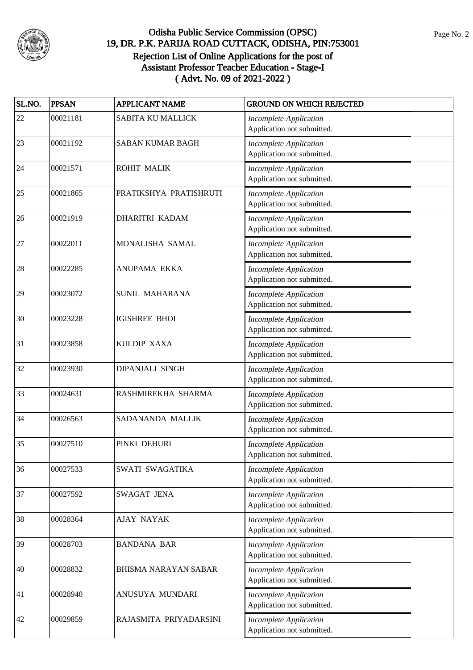

| SL.NO. | <b>PPSAN</b> | <b>APPLICANT NAME</b>       | <b>GROUND ON WHICH REJECTED</b>                             |
|--------|--------------|-----------------------------|-------------------------------------------------------------|
| 22     | 00021181     | <b>SABITA KU MALLICK</b>    | <b>Incomplete Application</b><br>Application not submitted. |
| 23     | 00021192     | <b>SABAN KUMAR BAGH</b>     | <b>Incomplete Application</b><br>Application not submitted. |
| 24     | 00021571     | ROHIT MALIK                 | <b>Incomplete Application</b><br>Application not submitted. |
| 25     | 00021865     | PRATIKSHYA PRATISHRUTI      | <b>Incomplete Application</b><br>Application not submitted. |
| 26     | 00021919     | DHARITRI KADAM              | <b>Incomplete Application</b><br>Application not submitted. |
| 27     | 00022011     | MONALISHA SAMAL             | <b>Incomplete Application</b><br>Application not submitted. |
| 28     | 00022285     | ANUPAMA EKKA                | <b>Incomplete Application</b><br>Application not submitted. |
| 29     | 00023072     | SUNIL MAHARANA              | <b>Incomplete Application</b><br>Application not submitted. |
| 30     | 00023228     | <b>IGISHREE BHOI</b>        | <b>Incomplete Application</b><br>Application not submitted. |
| 31     | 00023858     | KULDIP XAXA                 | <b>Incomplete Application</b><br>Application not submitted. |
| 32     | 00023930     | DIPANJALI SINGH             | <b>Incomplete Application</b><br>Application not submitted. |
| 33     | 00024631     | RASHMIREKHA SHARMA          | Incomplete Application<br>Application not submitted.        |
| 34     | 00026563     | SADANANDA MALLIK            | <b>Incomplete Application</b><br>Application not submitted. |
| 35     | 00027510     | PINKI DEHURI                | <b>Incomplete Application</b><br>Application not submitted. |
| 36     | 00027533     | SWATI SWAGATIKA             | <b>Incomplete Application</b><br>Application not submitted. |
| 37     | 00027592     | SWAGAT JENA                 | <b>Incomplete Application</b><br>Application not submitted. |
| 38     | 00028364     | <b>AJAY NAYAK</b>           | <b>Incomplete Application</b><br>Application not submitted. |
| 39     | 00028703     | <b>BANDANA BAR</b>          | <b>Incomplete Application</b><br>Application not submitted. |
| 40     | 00028832     | <b>BHISMA NARAYAN SABAR</b> | <b>Incomplete Application</b><br>Application not submitted. |
| 41     | 00028940     | ANUSUYA MUNDARI             | <b>Incomplete Application</b><br>Application not submitted. |
| 42     | 00029859     | RAJASMITA PRIYADARSINI      | <b>Incomplete Application</b><br>Application not submitted. |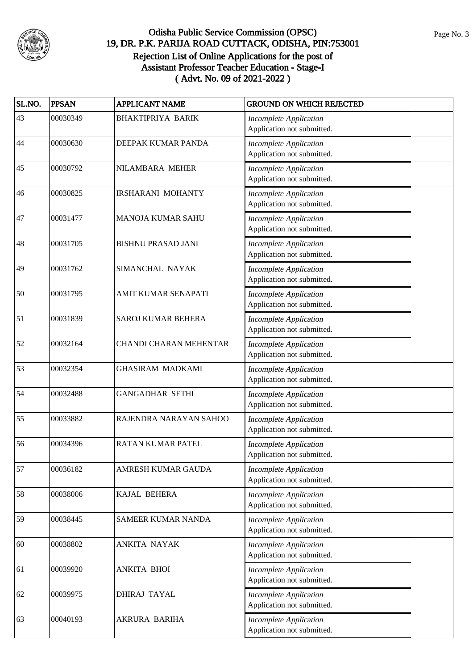

| SL.NO. | <b>PPSAN</b> | <b>APPLICANT NAME</b>         | <b>GROUND ON WHICH REJECTED</b>                             |
|--------|--------------|-------------------------------|-------------------------------------------------------------|
| 43     | 00030349     | <b>BHAKTIPRIYA BARIK</b>      | <b>Incomplete Application</b><br>Application not submitted. |
| 44     | 00030630     | DEEPAK KUMAR PANDA            | <b>Incomplete Application</b><br>Application not submitted. |
| 45     | 00030792     | NILAMBARA MEHER               | <b>Incomplete Application</b><br>Application not submitted. |
| 46     | 00030825     | <b>IRSHARANI MOHANTY</b>      | <b>Incomplete Application</b><br>Application not submitted. |
| 47     | 00031477     | <b>MANOJA KUMAR SAHU</b>      | <b>Incomplete Application</b><br>Application not submitted. |
| 48     | 00031705     | <b>BISHNU PRASAD JANI</b>     | <b>Incomplete Application</b><br>Application not submitted. |
| 49     | 00031762     | SIMANCHAL NAYAK               | <b>Incomplete Application</b><br>Application not submitted. |
| 50     | 00031795     | AMIT KUMAR SENAPATI           | <b>Incomplete Application</b><br>Application not submitted. |
| 51     | 00031839     | <b>SAROJ KUMAR BEHERA</b>     | <b>Incomplete Application</b><br>Application not submitted. |
| 52     | 00032164     | <b>CHANDI CHARAN MEHENTAR</b> | <b>Incomplete Application</b><br>Application not submitted. |
| 53     | 00032354     | <b>GHASIRAM MADKAMI</b>       | <b>Incomplete Application</b><br>Application not submitted. |
| 54     | 00032488     | <b>GANGADHAR SETHI</b>        | <b>Incomplete Application</b><br>Application not submitted. |
| 55     | 00033882     | RAJENDRA NARAYAN SAHOO        | <b>Incomplete Application</b><br>Application not submitted. |
| 56     | 00034396     | <b>RATAN KUMAR PATEL</b>      | <b>Incomplete Application</b><br>Application not submitted. |
| 57     | 00036182     | AMRESH KUMAR GAUDA            | <b>Incomplete Application</b><br>Application not submitted. |
| 58     | 00038006     | <b>KAJAL BEHERA</b>           | <b>Incomplete Application</b><br>Application not submitted. |
| 59     | 00038445     | SAMEER KUMAR NANDA            | <b>Incomplete Application</b><br>Application not submitted. |
| 60     | 00038802     | ANKITA NAYAK                  | <b>Incomplete Application</b><br>Application not submitted. |
| 61     | 00039920     | <b>ANKITA BHOI</b>            | Incomplete Application<br>Application not submitted.        |
| 62     | 00039975     | <b>DHIRAJ TAYAL</b>           | <b>Incomplete Application</b><br>Application not submitted. |
| 63     | 00040193     | AKRURA BARIHA                 | <b>Incomplete Application</b><br>Application not submitted. |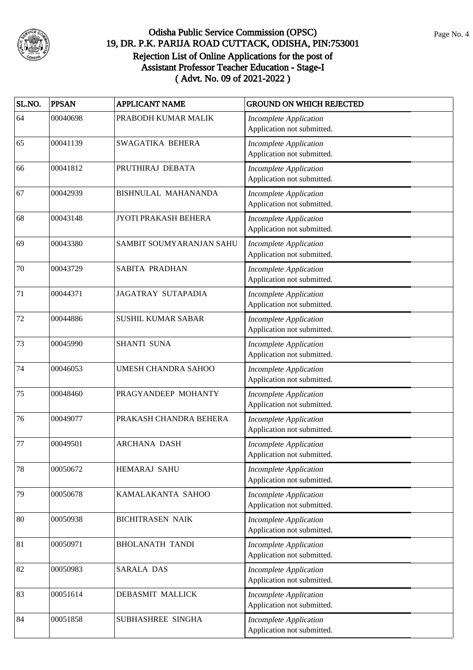

| SL.NO. | <b>PPSAN</b> | <b>APPLICANT NAME</b>     | <b>GROUND ON WHICH REJECTED</b>                             |
|--------|--------------|---------------------------|-------------------------------------------------------------|
| 64     | 00040698     | PRABODH KUMAR MALIK       | <b>Incomplete Application</b><br>Application not submitted. |
| 65     | 00041139     | SWAGATIKA BEHERA          | <b>Incomplete Application</b><br>Application not submitted. |
| 66     | 00041812     | PRUTHIRAJ DEBATA          | <b>Incomplete Application</b><br>Application not submitted. |
| 67     | 00042939     | BISHNULAL MAHANANDA       | <b>Incomplete Application</b><br>Application not submitted. |
| 68     | 00043148     | JYOTI PRAKASH BEHERA      | <b>Incomplete Application</b><br>Application not submitted. |
| 69     | 00043380     | SAMBIT SOUMYARANJAN SAHU  | <b>Incomplete Application</b><br>Application not submitted. |
| 70     | 00043729     | SABITA PRADHAN            | <b>Incomplete Application</b><br>Application not submitted. |
| 71     | 00044371     | <b>JAGATRAY SUTAPADIA</b> | <b>Incomplete Application</b><br>Application not submitted. |
| 72     | 00044886     | <b>SUSHIL KUMAR SABAR</b> | <b>Incomplete Application</b><br>Application not submitted. |
| 73     | 00045990     | <b>SHANTI SUNA</b>        | <b>Incomplete Application</b><br>Application not submitted. |
| 74     | 00046053     | UMESH CHANDRA SAHOO       | <b>Incomplete Application</b><br>Application not submitted. |
| 75     | 00048460     | PRAGYANDEEP MOHANTY       | <b>Incomplete Application</b><br>Application not submitted. |
| 76     | 00049077     | PRAKASH CHANDRA BEHERA    | <b>Incomplete Application</b><br>Application not submitted. |
| 77     | 00049501     | <b>ARCHANA DASH</b>       | <b>Incomplete Application</b><br>Application not submitted. |
| 78     | 00050672     | HEMARAJ SAHU              | <b>Incomplete Application</b><br>Application not submitted. |
| 79     | 00050678     | KAMALAKANTA SAHOO         | <b>Incomplete Application</b><br>Application not submitted. |
| 80     | 00050938     | <b>BICHITRASEN NAIK</b>   | <b>Incomplete Application</b><br>Application not submitted. |
| 81     | 00050971     | <b>BHOLANATH TANDI</b>    | <b>Incomplete Application</b><br>Application not submitted. |
| 82     | 00050983     | SARALA DAS                | <b>Incomplete Application</b><br>Application not submitted. |
| 83     | 00051614     | DEBASMIT MALLICK          | <b>Incomplete Application</b><br>Application not submitted. |
| 84     | 00051858     | SUBHASHREE SINGHA         | <b>Incomplete Application</b><br>Application not submitted. |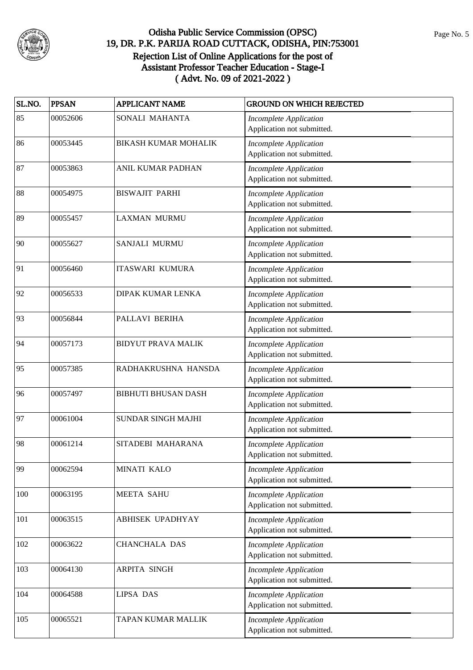

| SL.NO. | <b>PPSAN</b> | <b>APPLICANT NAME</b>       | <b>GROUND ON WHICH REJECTED</b>                             |
|--------|--------------|-----------------------------|-------------------------------------------------------------|
| 85     | 00052606     | SONALI MAHANTA              | <b>Incomplete Application</b><br>Application not submitted. |
| 86     | 00053445     | <b>BIKASH KUMAR MOHALIK</b> | <b>Incomplete Application</b><br>Application not submitted. |
| 87     | 00053863     | ANIL KUMAR PADHAN           | <b>Incomplete Application</b><br>Application not submitted. |
| 88     | 00054975     | <b>BISWAJIT PARHI</b>       | <b>Incomplete Application</b><br>Application not submitted. |
| 89     | 00055457     | <b>LAXMAN MURMU</b>         | <b>Incomplete Application</b><br>Application not submitted. |
| 90     | 00055627     | SANJALI MURMU               | <b>Incomplete Application</b><br>Application not submitted. |
| 91     | 00056460     | <b>ITASWARI KUMURA</b>      | <b>Incomplete Application</b><br>Application not submitted. |
| 92     | 00056533     | <b>DIPAK KUMAR LENKA</b>    | <b>Incomplete Application</b><br>Application not submitted. |
| 93     | 00056844     | PALLAVI BERIHA              | <b>Incomplete Application</b><br>Application not submitted. |
| 94     | 00057173     | <b>BIDYUT PRAVA MALIK</b>   | <b>Incomplete Application</b><br>Application not submitted. |
| 95     | 00057385     | RADHAKRUSHNA HANSDA         | <b>Incomplete Application</b><br>Application not submitted. |
| 96     | 00057497     | <b>BIBHUTI BHUSAN DASH</b>  | <b>Incomplete Application</b><br>Application not submitted. |
| 97     | 00061004     | <b>SUNDAR SINGH MAJHI</b>   | <b>Incomplete Application</b><br>Application not submitted. |
| 98     | 00061214     | SITADEBI MAHARANA           | <b>Incomplete Application</b><br>Application not submitted. |
| 99     | 00062594     | MINATI KALO                 | <b>Incomplete Application</b><br>Application not submitted. |
| 100    | 00063195     | <b>MEETA SAHU</b>           | <b>Incomplete Application</b><br>Application not submitted. |
| 101    | 00063515     | ABHISEK UPADHYAY            | <b>Incomplete Application</b><br>Application not submitted. |
| 102    | 00063622     | <b>CHANCHALA DAS</b>        | <b>Incomplete Application</b><br>Application not submitted. |
| 103    | 00064130     | <b>ARPITA SINGH</b>         | <b>Incomplete Application</b><br>Application not submitted. |
| 104    | 00064588     | <b>LIPSA DAS</b>            | <b>Incomplete Application</b><br>Application not submitted. |
| 105    | 00065521     | TAPAN KUMAR MALLIK          | <b>Incomplete Application</b><br>Application not submitted. |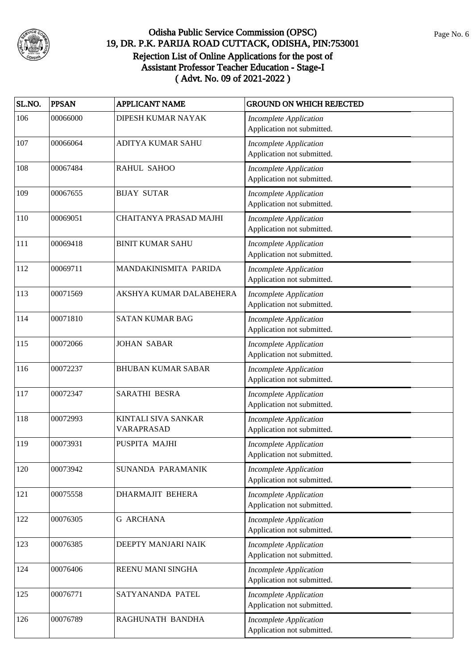

| SL.NO. | <b>PPSAN</b> | <b>APPLICANT NAME</b>             | <b>GROUND ON WHICH REJECTED</b>                             |
|--------|--------------|-----------------------------------|-------------------------------------------------------------|
| 106    | 00066000     | DIPESH KUMAR NAYAK                | <b>Incomplete Application</b><br>Application not submitted. |
| 107    | 00066064     | ADITYA KUMAR SAHU                 | <b>Incomplete Application</b><br>Application not submitted. |
| 108    | 00067484     | RAHUL SAHOO                       | <b>Incomplete Application</b><br>Application not submitted. |
| 109    | 00067655     | <b>BIJAY SUTAR</b>                | <b>Incomplete Application</b><br>Application not submitted. |
| 110    | 00069051     | CHAITANYA PRASAD MAJHI            | <b>Incomplete Application</b><br>Application not submitted. |
| 111    | 00069418     | <b>BINIT KUMAR SAHU</b>           | <b>Incomplete Application</b><br>Application not submitted. |
| 112    | 00069711     | MANDAKINISMITA PARIDA             | <b>Incomplete Application</b><br>Application not submitted. |
| 113    | 00071569     | AKSHYA KUMAR DALABEHERA           | <b>Incomplete Application</b><br>Application not submitted. |
| 114    | 00071810     | <b>SATAN KUMAR BAG</b>            | Incomplete Application<br>Application not submitted.        |
| 115    | 00072066     | <b>JOHAN SABAR</b>                | <b>Incomplete Application</b><br>Application not submitted. |
| 116    | 00072237     | <b>BHUBAN KUMAR SABAR</b>         | <b>Incomplete Application</b><br>Application not submitted. |
| 117    | 00072347     | <b>SARATHI BESRA</b>              | <b>Incomplete Application</b><br>Application not submitted. |
| 118    | 00072993     | KINTALI SIVA SANKAR<br>VARAPRASAD | <b>Incomplete Application</b><br>Application not submitted. |
| 119    | 00073931     | PUSPITA MAJHI                     | <b>Incomplete Application</b><br>Application not submitted. |
| 120    | 00073942     | SUNANDA PARAMANIK                 | <b>Incomplete Application</b><br>Application not submitted. |
| 121    | 00075558     | <b>DHARMAJIT BEHERA</b>           | <b>Incomplete Application</b><br>Application not submitted. |
| 122    | 00076305     | <b>G ARCHANA</b>                  | <b>Incomplete Application</b><br>Application not submitted. |
| 123    | 00076385     | DEEPTY MANJARI NAIK               | <b>Incomplete Application</b><br>Application not submitted. |
| 124    | 00076406     | REENU MANI SINGHA                 | <b>Incomplete Application</b><br>Application not submitted. |
| 125    | 00076771     | SATYANANDA PATEL                  | <b>Incomplete Application</b><br>Application not submitted. |
| 126    | 00076789     | RAGHUNATH BANDHA                  | <b>Incomplete Application</b><br>Application not submitted. |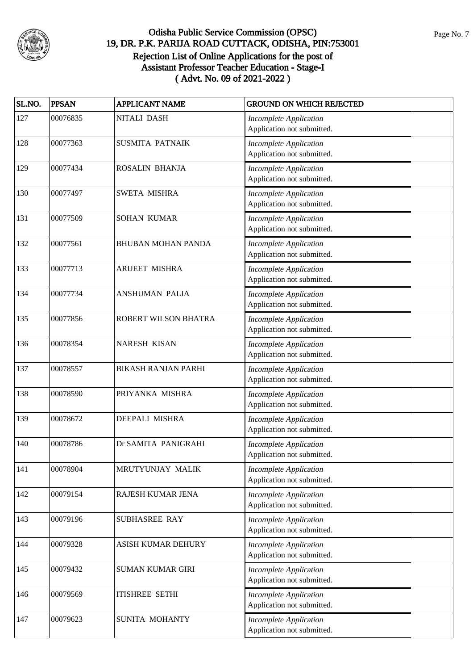

| SL.NO. | <b>PPSAN</b> | <b>APPLICANT NAME</b>      | <b>GROUND ON WHICH REJECTED</b>                             |
|--------|--------------|----------------------------|-------------------------------------------------------------|
| 127    | 00076835     | NITALI DASH                | <b>Incomplete Application</b><br>Application not submitted. |
| 128    | 00077363     | <b>SUSMITA PATNAIK</b>     | <b>Incomplete Application</b><br>Application not submitted. |
| 129    | 00077434     | ROSALIN BHANJA             | <b>Incomplete Application</b><br>Application not submitted. |
| 130    | 00077497     | SWETA MISHRA               | <b>Incomplete Application</b><br>Application not submitted. |
| 131    | 00077509     | SOHAN KUMAR                | <b>Incomplete Application</b><br>Application not submitted. |
| 132    | 00077561     | <b>BHUBAN MOHAN PANDA</b>  | <b>Incomplete Application</b><br>Application not submitted. |
| 133    | 00077713     | <b>ARIJEET MISHRA</b>      | <b>Incomplete Application</b><br>Application not submitted. |
| 134    | 00077734     | <b>ANSHUMAN PALIA</b>      | <b>Incomplete Application</b><br>Application not submitted. |
| 135    | 00077856     | ROBERT WILSON BHATRA       | <b>Incomplete Application</b><br>Application not submitted. |
| 136    | 00078354     | <b>NARESH KISAN</b>        | <b>Incomplete Application</b><br>Application not submitted. |
| 137    | 00078557     | <b>BIKASH RANJAN PARHI</b> | <b>Incomplete Application</b><br>Application not submitted. |
| 138    | 00078590     | PRIYANKA MISHRA            | <b>Incomplete Application</b><br>Application not submitted. |
| 139    | 00078672     | DEEPALI MISHRA             | <b>Incomplete Application</b><br>Application not submitted. |
| 140    | 00078786     | Dr SAMITA PANIGRAHI        | <b>Incomplete Application</b><br>Application not submitted. |
| 141    | 00078904     | MRUTYUNJAY MALIK           | <b>Incomplete Application</b><br>Application not submitted. |
| 142    | 00079154     | RAJESH KUMAR JENA          | <b>Incomplete Application</b><br>Application not submitted. |
| 143    | 00079196     | <b>SUBHASREE RAY</b>       | <b>Incomplete Application</b><br>Application not submitted. |
| 144    | 00079328     | <b>ASISH KUMAR DEHURY</b>  | <b>Incomplete Application</b><br>Application not submitted. |
| 145    | 00079432     | <b>SUMAN KUMAR GIRI</b>    | <b>Incomplete Application</b><br>Application not submitted. |
| 146    | 00079569     | <b>ITISHREE SETHI</b>      | <b>Incomplete Application</b><br>Application not submitted. |
| 147    | 00079623     | SUNITA MOHANTY             | <b>Incomplete Application</b><br>Application not submitted. |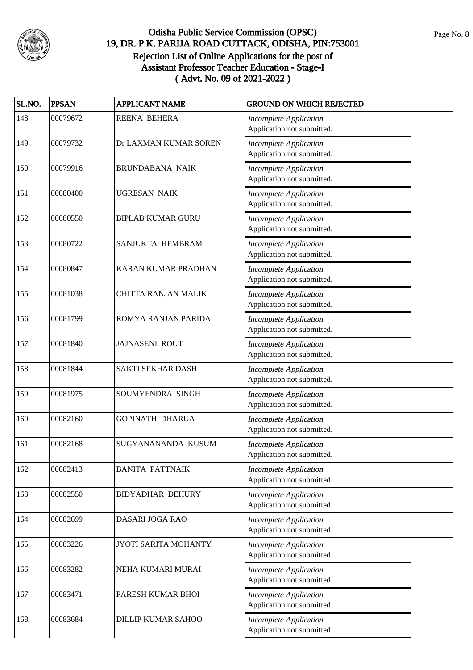

| SL.NO. | <b>PPSAN</b> | <b>APPLICANT NAME</b>      | <b>GROUND ON WHICH REJECTED</b>                             |
|--------|--------------|----------------------------|-------------------------------------------------------------|
| 148    | 00079672     | <b>REENA BEHERA</b>        | <b>Incomplete Application</b><br>Application not submitted. |
| 149    | 00079732     | Dr LAXMAN KUMAR SOREN      | <b>Incomplete Application</b><br>Application not submitted. |
| 150    | 00079916     | <b>BRUNDABANA NAIK</b>     | <b>Incomplete Application</b><br>Application not submitted. |
| 151    | 00080400     | <b>UGRESAN NAIK</b>        | <b>Incomplete Application</b><br>Application not submitted. |
| 152    | 00080550     | <b>BIPLAB KUMAR GURU</b>   | <b>Incomplete Application</b><br>Application not submitted. |
| 153    | 00080722     | SANJUKTA HEMBRAM           | <b>Incomplete Application</b><br>Application not submitted. |
| 154    | 00080847     | KARAN KUMAR PRADHAN        | <b>Incomplete Application</b><br>Application not submitted. |
| 155    | 00081038     | <b>CHITTA RANJAN MALIK</b> | <b>Incomplete Application</b><br>Application not submitted. |
| 156    | 00081799     | ROMYA RANJAN PARIDA        | <b>Incomplete Application</b><br>Application not submitted. |
| 157    | 00081840     | <b>JAJNASENI ROUT</b>      | <b>Incomplete Application</b><br>Application not submitted. |
| 158    | 00081844     | <b>SAKTI SEKHAR DASH</b>   | <b>Incomplete Application</b><br>Application not submitted. |
| 159    | 00081975     | SOUMYENDRA SINGH           | <b>Incomplete Application</b><br>Application not submitted. |
| 160    | 00082160     | <b>GOPINATH DHARUA</b>     | <b>Incomplete Application</b><br>Application not submitted. |
| 161    | 00082168     | SUGYANANANDA KUSUM         | <b>Incomplete Application</b><br>Application not submitted. |
| 162    | 00082413     | <b>BANITA PATTNAIK</b>     | <b>Incomplete Application</b><br>Application not submitted. |
| 163    | 00082550     | <b>BIDYADHAR DEHURY</b>    | <b>Incomplete Application</b><br>Application not submitted. |
| 164    | 00082699     | DASARI JOGA RAO            | <b>Incomplete Application</b><br>Application not submitted. |
| 165    | 00083226     | JYOTI SARITA MOHANTY       | <b>Incomplete Application</b><br>Application not submitted. |
| 166    | 00083282     | NEHA KUMARI MURAI          | <b>Incomplete Application</b><br>Application not submitted. |
| 167    | 00083471     | PARESH KUMAR BHOI          | <b>Incomplete Application</b><br>Application not submitted. |
| 168    | 00083684     | <b>DILLIP KUMAR SAHOO</b>  | <b>Incomplete Application</b><br>Application not submitted. |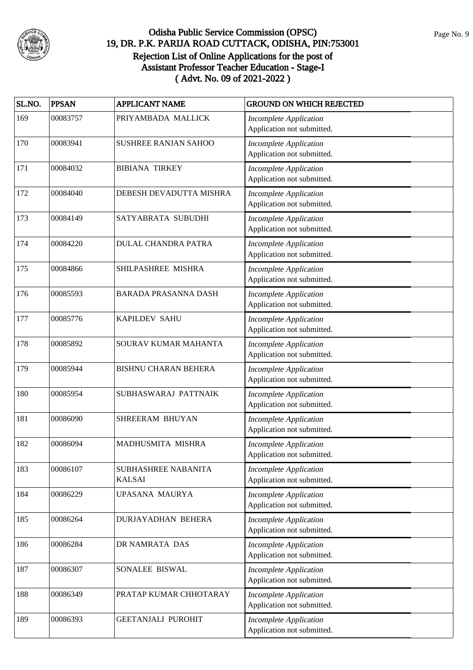

| SL.NO. | <b>PPSAN</b> | <b>APPLICANT NAME</b>                | <b>GROUND ON WHICH REJECTED</b>                             |
|--------|--------------|--------------------------------------|-------------------------------------------------------------|
| 169    | 00083757     | PRIYAMBADA MALLICK                   | <b>Incomplete Application</b><br>Application not submitted. |
| 170    | 00083941     | SUSHREE RANJAN SAHOO                 | <b>Incomplete Application</b><br>Application not submitted. |
| 171    | 00084032     | <b>BIBIANA TIRKEY</b>                | <b>Incomplete Application</b><br>Application not submitted. |
| 172    | 00084040     | DEBESH DEVADUTTA MISHRA              | <b>Incomplete Application</b><br>Application not submitted. |
| 173    | 00084149     | SATYABRATA SUBUDHI                   | <b>Incomplete Application</b><br>Application not submitted. |
| 174    | 00084220     | <b>DULAL CHANDRA PATRA</b>           | <b>Incomplete Application</b><br>Application not submitted. |
| 175    | 00084866     | SHILPASHREE MISHRA                   | <b>Incomplete Application</b><br>Application not submitted. |
| 176    | 00085593     | <b>BARADA PRASANNA DASH</b>          | <b>Incomplete Application</b><br>Application not submitted. |
| 177    | 00085776     | <b>KAPILDEV SAHU</b>                 | <b>Incomplete Application</b><br>Application not submitted. |
| 178    | 00085892     | SOURAV KUMAR MAHANTA                 | <b>Incomplete Application</b><br>Application not submitted. |
| 179    | 00085944     | <b>BISHNU CHARAN BEHERA</b>          | <b>Incomplete Application</b><br>Application not submitted. |
| 180    | 00085954     | SUBHASWARAJ PATTNAIK                 | <b>Incomplete Application</b><br>Application not submitted. |
| 181    | 00086090     | SHREERAM BHUYAN                      | Incomplete Application<br>Application not submitted.        |
| 182    | 00086094     | MADHUSMITA MISHRA                    | <b>Incomplete Application</b><br>Application not submitted. |
| 183    | 00086107     | SUBHASHREE NABANITA<br><b>KALSAI</b> | <b>Incomplete Application</b><br>Application not submitted. |
| 184    | 00086229     | UPASANA MAURYA                       | <b>Incomplete Application</b><br>Application not submitted. |
| 185    | 00086264     | DURJAYADHAN BEHERA                   | <b>Incomplete Application</b><br>Application not submitted. |
| 186    | 00086284     | DR NAMRATA DAS                       | <b>Incomplete Application</b><br>Application not submitted. |
| 187    | 00086307     | SONALEE BISWAL                       | <b>Incomplete Application</b><br>Application not submitted. |
| 188    | 00086349     | PRATAP KUMAR CHHOTARAY               | <b>Incomplete Application</b><br>Application not submitted. |
| 189    | 00086393     | <b>GEETANJALI PUROHIT</b>            | <b>Incomplete Application</b><br>Application not submitted. |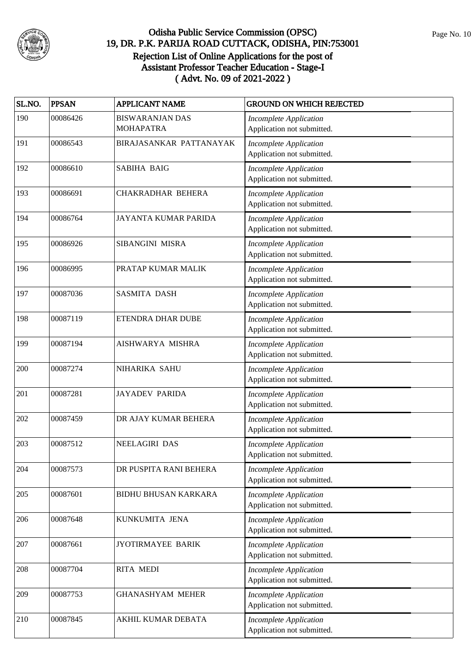

| SL.NO. | <b>PPSAN</b> | <b>APPLICANT NAME</b>                      | <b>GROUND ON WHICH REJECTED</b>                             |
|--------|--------------|--------------------------------------------|-------------------------------------------------------------|
| 190    | 00086426     | <b>BISWARANJAN DAS</b><br><b>MOHAPATRA</b> | <b>Incomplete Application</b><br>Application not submitted. |
| 191    | 00086543     | BIRAJASANKAR PATTANAYAK                    | <b>Incomplete Application</b><br>Application not submitted. |
| 192    | 00086610     | <b>SABIHA BAIG</b>                         | <b>Incomplete Application</b><br>Application not submitted. |
| 193    | 00086691     | <b>CHAKRADHAR BEHERA</b>                   | <b>Incomplete Application</b><br>Application not submitted. |
| 194    | 00086764     | JAYANTA KUMAR PARIDA                       | <b>Incomplete Application</b><br>Application not submitted. |
| 195    | 00086926     | SIBANGINI MISRA                            | <b>Incomplete Application</b><br>Application not submitted. |
| 196    | 00086995     | PRATAP KUMAR MALIK                         | <b>Incomplete Application</b><br>Application not submitted. |
| 197    | 00087036     | <b>SASMITA DASH</b>                        | <b>Incomplete Application</b><br>Application not submitted. |
| 198    | 00087119     | ETENDRA DHAR DUBE                          | <b>Incomplete Application</b><br>Application not submitted. |
| 199    | 00087194     | AISHWARYA MISHRA                           | <b>Incomplete Application</b><br>Application not submitted. |
| 200    | 00087274     | NIHARIKA SAHU                              | <b>Incomplete Application</b><br>Application not submitted. |
| 201    | 00087281     | <b>JAYADEV PARIDA</b>                      | <b>Incomplete Application</b><br>Application not submitted. |
| 202    | 00087459     | DR AJAY KUMAR BEHERA                       | <b>Incomplete Application</b><br>Application not submitted. |
| 203    | 00087512     | <b>NEELAGIRI DAS</b>                       | <b>Incomplete Application</b><br>Application not submitted. |
| 204    | 00087573     | DR PUSPITA RANI BEHERA                     | <b>Incomplete Application</b><br>Application not submitted. |
| 205    | 00087601     | <b>BIDHU BHUSAN KARKARA</b>                | <b>Incomplete Application</b><br>Application not submitted. |
| 206    | 00087648     | KUNKUMITA JENA                             | <b>Incomplete Application</b><br>Application not submitted. |
| 207    | 00087661     | JYOTIRMAYEE BARIK                          | <b>Incomplete Application</b><br>Application not submitted. |
| 208    | 00087704     | <b>RITA MEDI</b>                           | <b>Incomplete Application</b><br>Application not submitted. |
| 209    | 00087753     | <b>GHANASHYAM MEHER</b>                    | <b>Incomplete Application</b><br>Application not submitted. |
| 210    | 00087845     | AKHIL KUMAR DEBATA                         | <b>Incomplete Application</b><br>Application not submitted. |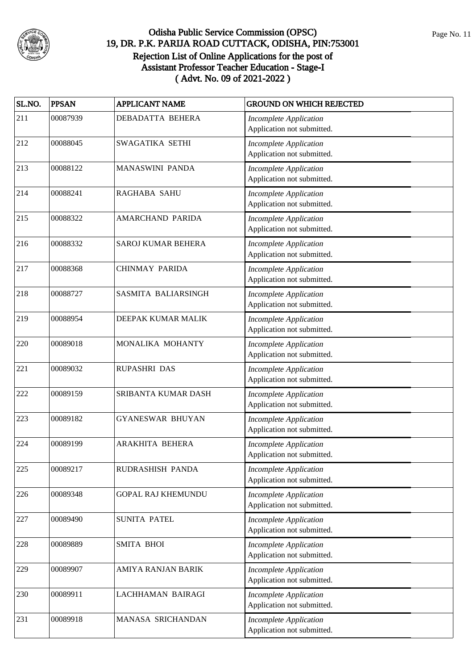

| SL.NO. | <b>PPSAN</b> | <b>APPLICANT NAME</b>      | <b>GROUND ON WHICH REJECTED</b>                             |
|--------|--------------|----------------------------|-------------------------------------------------------------|
| 211    | 00087939     | <b>DEBADATTA BEHERA</b>    | <b>Incomplete Application</b><br>Application not submitted. |
| 212    | 00088045     | SWAGATIKA SETHI            | <b>Incomplete Application</b><br>Application not submitted. |
| 213    | 00088122     | MANASWINI PANDA            | <b>Incomplete Application</b><br>Application not submitted. |
| 214    | 00088241     | <b>RAGHABA SAHU</b>        | <b>Incomplete Application</b><br>Application not submitted. |
| 215    | 00088322     | AMARCHAND PARIDA           | <b>Incomplete Application</b><br>Application not submitted. |
| 216    | 00088332     | <b>SAROJ KUMAR BEHERA</b>  | <b>Incomplete Application</b><br>Application not submitted. |
| 217    | 00088368     | <b>CHINMAY PARIDA</b>      | <b>Incomplete Application</b><br>Application not submitted. |
| 218    | 00088727     | <b>SASMITA BALIARSINGH</b> | <b>Incomplete Application</b><br>Application not submitted. |
| 219    | 00088954     | DEEPAK KUMAR MALIK         | <b>Incomplete Application</b><br>Application not submitted. |
| 220    | 00089018     | MONALIKA MOHANTY           | <b>Incomplete Application</b><br>Application not submitted. |
| 221    | 00089032     | RUPASHRI DAS               | <b>Incomplete Application</b><br>Application not submitted. |
| 222    | 00089159     | SRIBANTA KUMAR DASH        | <b>Incomplete Application</b><br>Application not submitted. |
| 223    | 00089182     | <b>GYANESWAR BHUYAN</b>    | <b>Incomplete Application</b><br>Application not submitted. |
| 224    | 00089199     | ARAKHITA BEHERA            | <b>Incomplete Application</b><br>Application not submitted. |
| 225    | 00089217     | RUDRASHISH PANDA           | <b>Incomplete Application</b><br>Application not submitted. |
| 226    | 00089348     | <b>GOPAL RAJ KHEMUNDU</b>  | <b>Incomplete Application</b><br>Application not submitted. |
| 227    | 00089490     | <b>SUNITA PATEL</b>        | <b>Incomplete Application</b><br>Application not submitted. |
| 228    | 00089889     | SMITA BHOI                 | <b>Incomplete Application</b><br>Application not submitted. |
| 229    | 00089907     | AMIYA RANJAN BARIK         | <b>Incomplete Application</b><br>Application not submitted. |
| 230    | 00089911     | LACHHAMAN BAIRAGI          | <b>Incomplete Application</b><br>Application not submitted. |
| 231    | 00089918     | MANASA SRICHANDAN          | <b>Incomplete Application</b><br>Application not submitted. |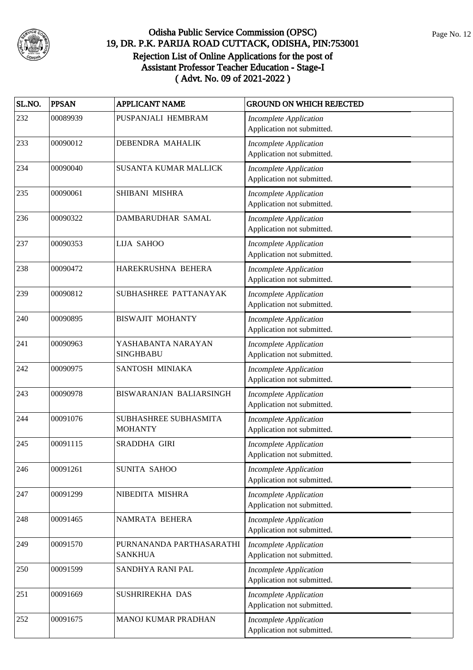

| SL.NO. | <b>PPSAN</b> | <b>APPLICANT NAME</b>                      | <b>GROUND ON WHICH REJECTED</b>                             |
|--------|--------------|--------------------------------------------|-------------------------------------------------------------|
| 232    | 00089939     | PUSPANJALI HEMBRAM                         | <b>Incomplete Application</b><br>Application not submitted. |
| 233    | 00090012     | DEBENDRA MAHALIK                           | <b>Incomplete Application</b><br>Application not submitted. |
| 234    | 00090040     | SUSANTA KUMAR MALLICK                      | <b>Incomplete Application</b><br>Application not submitted. |
| 235    | 00090061     | SHIBANI MISHRA                             | <b>Incomplete Application</b><br>Application not submitted. |
| 236    | 00090322     | DAMBARUDHAR SAMAL                          | <b>Incomplete Application</b><br>Application not submitted. |
| 237    | 00090353     | <b>LIJA SAHOO</b>                          | <b>Incomplete Application</b><br>Application not submitted. |
| 238    | 00090472     | HAREKRUSHNA BEHERA                         | <b>Incomplete Application</b><br>Application not submitted. |
| 239    | 00090812     | SUBHASHREE PATTANAYAK                      | <b>Incomplete Application</b><br>Application not submitted. |
| 240    | 00090895     | <b>BISWAJIT MOHANTY</b>                    | Incomplete Application<br>Application not submitted.        |
| 241    | 00090963     | YASHABANTA NARAYAN<br><b>SINGHBABU</b>     | <b>Incomplete Application</b><br>Application not submitted. |
| 242    | 00090975     | SANTOSH MINIAKA                            | <b>Incomplete Application</b><br>Application not submitted. |
| 243    | 00090978     | BISWARANJAN BALIARSINGH                    | <b>Incomplete Application</b><br>Application not submitted. |
| 244    | 00091076     | SUBHASHREE SUBHASMITA<br><b>MOHANTY</b>    | <b>Incomplete Application</b><br>Application not submitted. |
| 245    | 00091115     | SRADDHA GIRI                               | <b>Incomplete Application</b><br>Application not submitted. |
| 246    | 00091261     | SUNITA SAHOO                               | <b>Incomplete Application</b><br>Application not submitted. |
| 247    | 00091299     | NIBEDITA MISHRA                            | <b>Incomplete Application</b><br>Application not submitted. |
| 248    | 00091465     | NAMRATA BEHERA                             | <b>Incomplete Application</b><br>Application not submitted. |
| 249    | 00091570     | PURNANANDA PARTHASARATHI<br><b>SANKHUA</b> | <b>Incomplete Application</b><br>Application not submitted. |
| 250    | 00091599     | SANDHYA RANI PAL                           | <b>Incomplete Application</b><br>Application not submitted. |
| 251    | 00091669     | SUSHRIREKHA DAS                            | <b>Incomplete Application</b><br>Application not submitted. |
| 252    | 00091675     | MANOJ KUMAR PRADHAN                        | <b>Incomplete Application</b><br>Application not submitted. |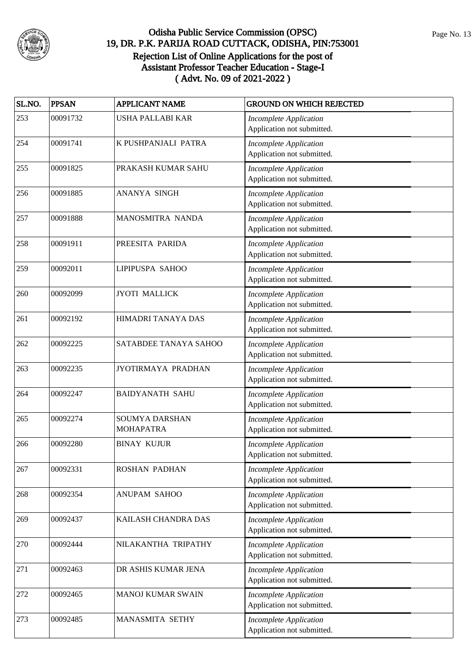

| SL.NO. | <b>PPSAN</b> | <b>APPLICANT NAME</b>                     | <b>GROUND ON WHICH REJECTED</b>                             |
|--------|--------------|-------------------------------------------|-------------------------------------------------------------|
| 253    | 00091732     | USHA PALLABI KAR                          | <b>Incomplete Application</b><br>Application not submitted. |
| 254    | 00091741     | K PUSHPANJALI PATRA                       | <b>Incomplete Application</b><br>Application not submitted. |
| 255    | 00091825     | PRAKASH KUMAR SAHU                        | <b>Incomplete Application</b><br>Application not submitted. |
| 256    | 00091885     | ANANYA SINGH                              | <b>Incomplete Application</b><br>Application not submitted. |
| 257    | 00091888     | MANOSMITRA NANDA                          | <b>Incomplete Application</b><br>Application not submitted. |
| 258    | 00091911     | PREESITA PARIDA                           | <b>Incomplete Application</b><br>Application not submitted. |
| 259    | 00092011     | LIPIPUSPA SAHOO                           | <b>Incomplete Application</b><br>Application not submitted. |
| 260    | 00092099     | <b>JYOTI MALLICK</b>                      | <b>Incomplete Application</b><br>Application not submitted. |
| 261    | 00092192     | HIMADRI TANAYA DAS                        | <b>Incomplete Application</b><br>Application not submitted. |
| 262    | 00092225     | SATABDEE TANAYA SAHOO                     | <b>Incomplete Application</b><br>Application not submitted. |
| 263    | 00092235     | JYOTIRMAYA PRADHAN                        | <b>Incomplete Application</b><br>Application not submitted. |
| 264    | 00092247     | <b>BAIDYANATH SAHU</b>                    | <b>Incomplete Application</b><br>Application not submitted. |
| 265    | 00092274     | <b>SOUMYA DARSHAN</b><br><b>MOHAPATRA</b> | <b>Incomplete Application</b><br>Application not submitted. |
| 266    | 00092280     | <b>BINAY KUJUR</b>                        | <b>Incomplete Application</b><br>Application not submitted. |
| 267    | 00092331     | ROSHAN PADHAN                             | <b>Incomplete Application</b><br>Application not submitted. |
| 268    | 00092354     | ANUPAM SAHOO                              | <b>Incomplete Application</b><br>Application not submitted. |
| 269    | 00092437     | KAILASH CHANDRA DAS                       | <b>Incomplete Application</b><br>Application not submitted. |
| 270    | 00092444     | NILAKANTHA TRIPATHY                       | <b>Incomplete Application</b><br>Application not submitted. |
| 271    | 00092463     | DR ASHIS KUMAR JENA                       | <b>Incomplete Application</b><br>Application not submitted. |
| 272    | 00092465     | MANOJ KUMAR SWAIN                         | <b>Incomplete Application</b><br>Application not submitted. |
| 273    | 00092485     | MANASMITA SETHY                           | <b>Incomplete Application</b><br>Application not submitted. |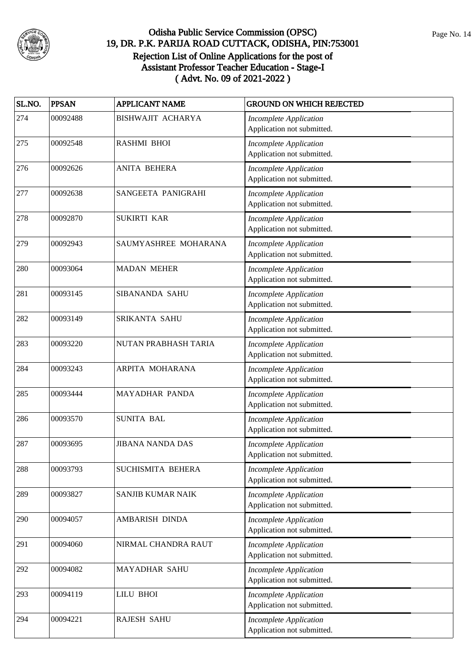

| SL.NO. | <b>PPSAN</b> | <b>APPLICANT NAME</b>   | <b>GROUND ON WHICH REJECTED</b>                             |
|--------|--------------|-------------------------|-------------------------------------------------------------|
| 274    | 00092488     | BISHWAJIT ACHARYA       | <b>Incomplete Application</b><br>Application not submitted. |
| 275    | 00092548     | <b>RASHMI BHOI</b>      | <b>Incomplete Application</b><br>Application not submitted. |
| 276    | 00092626     | <b>ANITA BEHERA</b>     | <b>Incomplete Application</b><br>Application not submitted. |
| 277    | 00092638     | SANGEETA PANIGRAHI      | <b>Incomplete Application</b><br>Application not submitted. |
| 278    | 00092870     | <b>SUKIRTI KAR</b>      | <b>Incomplete Application</b><br>Application not submitted. |
| 279    | 00092943     | SAUMYASHREE MOHARANA    | <b>Incomplete Application</b><br>Application not submitted. |
| 280    | 00093064     | <b>MADAN MEHER</b>      | <b>Incomplete Application</b><br>Application not submitted. |
| 281    | 00093145     | SIBANANDA SAHU          | <b>Incomplete Application</b><br>Application not submitted. |
| 282    | 00093149     | SRIKANTA SAHU           | <b>Incomplete Application</b><br>Application not submitted. |
| 283    | 00093220     | NUTAN PRABHASH TARIA    | <b>Incomplete Application</b><br>Application not submitted. |
| 284    | 00093243     | ARPITA MOHARANA         | <b>Incomplete Application</b><br>Application not submitted. |
| 285    | 00093444     | MAYADHAR PANDA          | <b>Incomplete Application</b><br>Application not submitted. |
| 286    | 00093570     | <b>SUNITA BAL</b>       | <b>Incomplete Application</b><br>Application not submitted. |
| 287    | 00093695     | <b>JIBANA NANDA DAS</b> | <b>Incomplete Application</b><br>Application not submitted. |
| 288    | 00093793     | SUCHISMITA BEHERA       | <b>Incomplete Application</b><br>Application not submitted. |
| 289    | 00093827     | SANJIB KUMAR NAIK       | <b>Incomplete Application</b><br>Application not submitted. |
| 290    | 00094057     | AMBARISH DINDA          | <b>Incomplete Application</b><br>Application not submitted. |
| 291    | 00094060     | NIRMAL CHANDRA RAUT     | <b>Incomplete Application</b><br>Application not submitted. |
| 292    | 00094082     | MAYADHAR SAHU           | <b>Incomplete Application</b><br>Application not submitted. |
| 293    | 00094119     | <b>LILU BHOI</b>        | <b>Incomplete Application</b><br>Application not submitted. |
| 294    | 00094221     | <b>RAJESH SAHU</b>      | <b>Incomplete Application</b><br>Application not submitted. |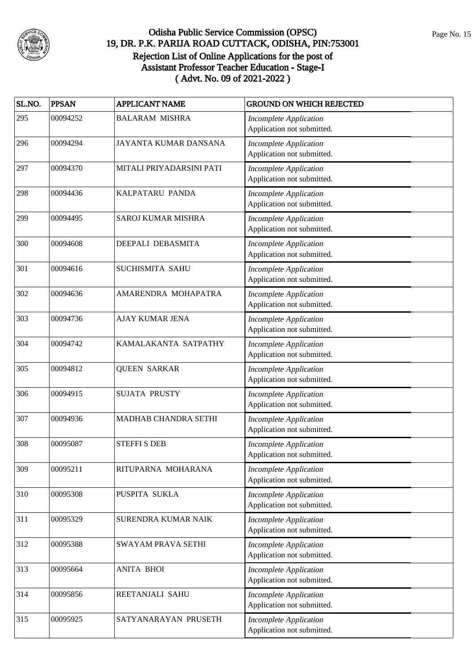

| SL.NO. | <b>PPSAN</b> | <b>APPLICANT NAME</b>     | <b>GROUND ON WHICH REJECTED</b>                             |
|--------|--------------|---------------------------|-------------------------------------------------------------|
| 295    | 00094252     | <b>BALARAM MISHRA</b>     | <b>Incomplete Application</b><br>Application not submitted. |
| 296    | 00094294     | JAYANTA KUMAR DANSANA     | <b>Incomplete Application</b><br>Application not submitted. |
| 297    | 00094370     | MITALI PRIYADARSINI PATI  | <b>Incomplete Application</b><br>Application not submitted. |
| 298    | 00094436     | KALPATARU PANDA           | <b>Incomplete Application</b><br>Application not submitted. |
| 299    | 00094495     | SAROJ KUMAR MISHRA        | <b>Incomplete Application</b><br>Application not submitted. |
| 300    | 00094608     | DEEPALI DEBASMITA         | <b>Incomplete Application</b><br>Application not submitted. |
| 301    | 00094616     | SUCHISMITA SAHU           | <b>Incomplete Application</b><br>Application not submitted. |
| 302    | 00094636     | AMARENDRA MOHAPATRA       | <b>Incomplete Application</b><br>Application not submitted. |
| 303    | 00094736     | <b>AJAY KUMAR JENA</b>    | Incomplete Application<br>Application not submitted.        |
| 304    | 00094742     | KAMALAKANTA SATPATHY      | <b>Incomplete Application</b><br>Application not submitted. |
| 305    | 00094812     | <b>QUEEN SARKAR</b>       | <b>Incomplete Application</b><br>Application not submitted. |
| 306    | 00094915     | <b>SUJATA PRUSTY</b>      | <b>Incomplete Application</b><br>Application not submitted. |
| 307    | 00094936     | MADHAB CHANDRA SETHI      | <b>Incomplete Application</b><br>Application not submitted. |
| 308    | 00095087     | <b>STEFFI S DEB</b>       | <b>Incomplete Application</b><br>Application not submitted. |
| 309    | 00095211     | RITUPARNA MOHARANA        | <b>Incomplete Application</b><br>Application not submitted. |
| 310    | 00095308     | PUSPITA SUKLA             | <b>Incomplete Application</b><br>Application not submitted. |
| 311    | 00095329     | SURENDRA KUMAR NAIK       | <b>Incomplete Application</b><br>Application not submitted. |
| 312    | 00095388     | <b>SWAYAM PRAVA SETHI</b> | <b>Incomplete Application</b><br>Application not submitted. |
| 313    | 00095664     | <b>ANITA BHOI</b>         | <b>Incomplete Application</b><br>Application not submitted. |
| 314    | 00095856     | REETANJALI SAHU           | <b>Incomplete Application</b><br>Application not submitted. |
| 315    | 00095925     | SATYANARAYAN PRUSETH      | <b>Incomplete Application</b><br>Application not submitted. |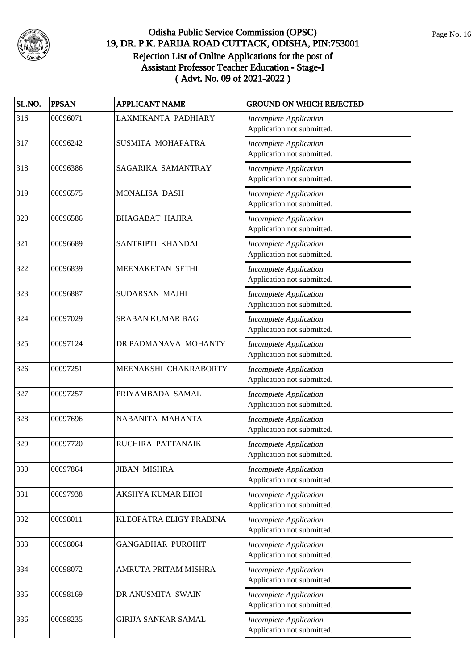

| SL.NO. | <b>PPSAN</b> | <b>APPLICANT NAME</b>      | <b>GROUND ON WHICH REJECTED</b>                             |
|--------|--------------|----------------------------|-------------------------------------------------------------|
| 316    | 00096071     | LAXMIKANTA PADHIARY        | <b>Incomplete Application</b><br>Application not submitted. |
| 317    | 00096242     | SUSMITA MOHAPATRA          | <b>Incomplete Application</b><br>Application not submitted. |
| 318    | 00096386     | SAGARIKA SAMANTRAY         | <b>Incomplete Application</b><br>Application not submitted. |
| 319    | 00096575     | <b>MONALISA DASH</b>       | <b>Incomplete Application</b><br>Application not submitted. |
| 320    | 00096586     | <b>BHAGABAT HAJIRA</b>     | <b>Incomplete Application</b><br>Application not submitted. |
| 321    | 00096689     | SANTRIPTI KHANDAI          | <b>Incomplete Application</b><br>Application not submitted. |
| 322    | 00096839     | MEENAKETAN SETHI           | <b>Incomplete Application</b><br>Application not submitted. |
| 323    | 00096887     | SUDARSAN MAJHI             | <b>Incomplete Application</b><br>Application not submitted. |
| 324    | 00097029     | <b>SRABAN KUMAR BAG</b>    | <b>Incomplete Application</b><br>Application not submitted. |
| 325    | 00097124     | DR PADMANAVA MOHANTY       | <b>Incomplete Application</b><br>Application not submitted. |
| 326    | 00097251     | MEENAKSHI CHAKRABORTY      | <b>Incomplete Application</b><br>Application not submitted. |
| 327    | 00097257     | PRIYAMBADA SAMAL           | <b>Incomplete Application</b><br>Application not submitted. |
| 328    | 00097696     | NABANITA MAHANTA           | <b>Incomplete Application</b><br>Application not submitted. |
| 329    | 00097720     | RUCHIRA PATTANAIK          | <b>Incomplete Application</b><br>Application not submitted. |
| 330    | 00097864     | <b>JIBAN MISHRA</b>        | <b>Incomplete Application</b><br>Application not submitted. |
| 331    | 00097938     | AKSHYA KUMAR BHOI          | <b>Incomplete Application</b><br>Application not submitted. |
| 332    | 00098011     | KLEOPATRA ELIGY PRABINA    | <b>Incomplete Application</b><br>Application not submitted. |
| 333    | 00098064     | <b>GANGADHAR PUROHIT</b>   | <b>Incomplete Application</b><br>Application not submitted. |
| 334    | 00098072     | AMRUTA PRITAM MISHRA       | <b>Incomplete Application</b><br>Application not submitted. |
| 335    | 00098169     | DR ANUSMITA SWAIN          | <b>Incomplete Application</b><br>Application not submitted. |
| 336    | 00098235     | <b>GIRIJA SANKAR SAMAL</b> | <b>Incomplete Application</b><br>Application not submitted. |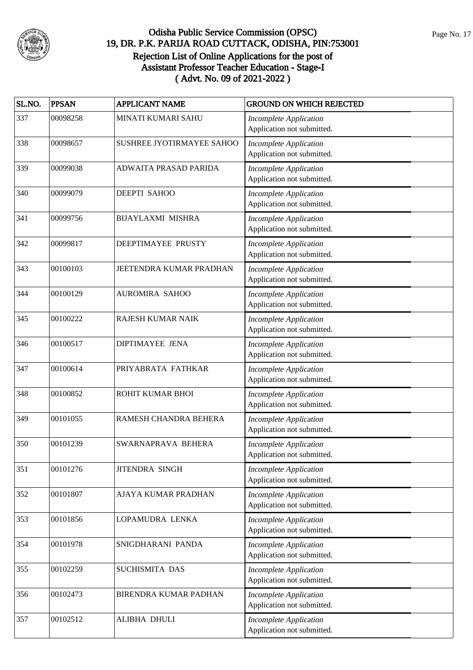

| SL.NO. | <b>PPSAN</b> | <b>APPLICANT NAME</b>     | <b>GROUND ON WHICH REJECTED</b>                             |
|--------|--------------|---------------------------|-------------------------------------------------------------|
| 337    | 00098258     | MINATI KUMARI SAHU        | <b>Incomplete Application</b><br>Application not submitted. |
| 338    | 00098657     | SUSHREE JYOTIRMAYEE SAHOO | <b>Incomplete Application</b><br>Application not submitted. |
| 339    | 00099038     | ADWAITA PRASAD PARIDA     | <b>Incomplete Application</b><br>Application not submitted. |
| 340    | 00099079     | <b>DEEPTI SAHOO</b>       | <b>Incomplete Application</b><br>Application not submitted. |
| 341    | 00099756     | <b>BIJAYLAXMI MISHRA</b>  | <b>Incomplete Application</b><br>Application not submitted. |
| 342    | 00099817     | DEEPTIMAYEE PRUSTY        | <b>Incomplete Application</b><br>Application not submitted. |
| 343    | 00100103     | JEETENDRA KUMAR PRADHAN   | <b>Incomplete Application</b><br>Application not submitted. |
| 344    | 00100129     | <b>AUROMIRA SAHOO</b>     | <b>Incomplete Application</b><br>Application not submitted. |
| 345    | 00100222     | <b>RAJESH KUMAR NAIK</b>  | <b>Incomplete Application</b><br>Application not submitted. |
| 346    | 00100517     | DIPTIMAYEE JENA           | <b>Incomplete Application</b><br>Application not submitted. |
| 347    | 00100614     | PRIYABRATA FATHKAR        | <b>Incomplete Application</b><br>Application not submitted. |
| 348    | 00100852     | ROHIT KUMAR BHOI          | <b>Incomplete Application</b><br>Application not submitted. |
| 349    | 00101055     | RAMESH CHANDRA BEHERA     | <b>Incomplete Application</b><br>Application not submitted. |
| 350    | 00101239     | SWARNAPRAVA BEHERA        | <b>Incomplete Application</b><br>Application not submitted. |
| 351    | 00101276     | <b>JITENDRA SINGH</b>     | <b>Incomplete Application</b><br>Application not submitted. |
| 352    | 00101807     | AJAYA KUMAR PRADHAN       | <b>Incomplete Application</b><br>Application not submitted. |
| 353    | 00101856     | LOPAMUDRA LENKA           | <b>Incomplete Application</b><br>Application not submitted. |
| 354    | 00101978     | SNIGDHARANI PANDA         | <b>Incomplete Application</b><br>Application not submitted. |
| 355    | 00102259     | SUCHISMITA DAS            | <b>Incomplete Application</b><br>Application not submitted. |
| 356    | 00102473     | BIRENDRA KUMAR PADHAN     | <b>Incomplete Application</b><br>Application not submitted. |
| 357    | 00102512     | ALIBHA DHULI              | <b>Incomplete Application</b><br>Application not submitted. |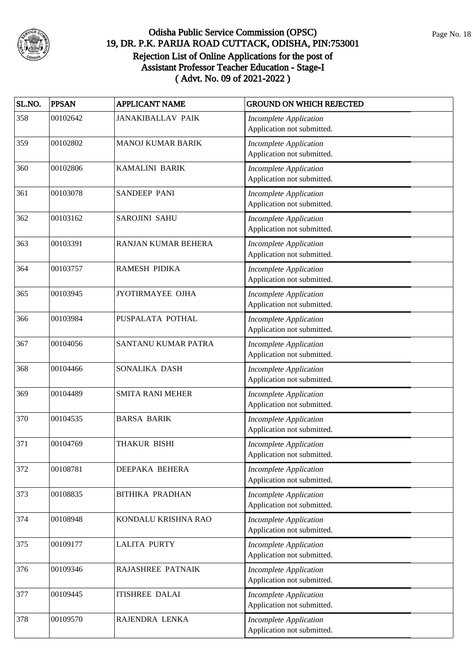

| SL.NO. | <b>PPSAN</b> | <b>APPLICANT NAME</b>    | <b>GROUND ON WHICH REJECTED</b>                             |
|--------|--------------|--------------------------|-------------------------------------------------------------|
| 358    | 00102642     | <b>JANAKIBALLAV PAIK</b> | <b>Incomplete Application</b><br>Application not submitted. |
| 359    | 00102802     | <b>MANOJ KUMAR BARIK</b> | <b>Incomplete Application</b><br>Application not submitted. |
| 360    | 00102806     | <b>KAMALINI BARIK</b>    | <b>Incomplete Application</b><br>Application not submitted. |
| 361    | 00103078     | SANDEEP PANI             | <b>Incomplete Application</b><br>Application not submitted. |
| 362    | 00103162     | SAROJINI SAHU            | <b>Incomplete Application</b><br>Application not submitted. |
| 363    | 00103391     | RANJAN KUMAR BEHERA      | <b>Incomplete Application</b><br>Application not submitted. |
| 364    | 00103757     | <b>RAMESH PIDIKA</b>     | <b>Incomplete Application</b><br>Application not submitted. |
| 365    | 00103945     | <b>JYOTIRMAYEE OJHA</b>  | <b>Incomplete Application</b><br>Application not submitted. |
| 366    | 00103984     | PUSPALATA POTHAL         | <b>Incomplete Application</b><br>Application not submitted. |
| 367    | 00104056     | SANTANU KUMAR PATRA      | <b>Incomplete Application</b><br>Application not submitted. |
| 368    | 00104466     | SONALIKA DASH            | <b>Incomplete Application</b><br>Application not submitted. |
| 369    | 00104489     | <b>SMITA RANI MEHER</b>  | <b>Incomplete Application</b><br>Application not submitted. |
| 370    | 00104535     | <b>BARSA BARIK</b>       | Incomplete Application<br>Application not submitted.        |
| 371    | 00104769     | THAKUR BISHI             | <b>Incomplete Application</b><br>Application not submitted. |
| 372    | 00108781     | DEEPAKA BEHERA           | <b>Incomplete Application</b><br>Application not submitted. |
| 373    | 00108835     | <b>BITHIKA PRADHAN</b>   | <b>Incomplete Application</b><br>Application not submitted. |
| 374    | 00108948     | KONDALU KRISHNA RAO      | <b>Incomplete Application</b><br>Application not submitted. |
| 375    | 00109177     | <b>LALITA PURTY</b>      | <b>Incomplete Application</b><br>Application not submitted. |
| 376    | 00109346     | RAJASHREE PATNAIK        | <b>Incomplete Application</b><br>Application not submitted. |
| 377    | 00109445     | <b>ITISHREE DALAI</b>    | <b>Incomplete Application</b><br>Application not submitted. |
| 378    | 00109570     | RAJENDRA LENKA           | <b>Incomplete Application</b><br>Application not submitted. |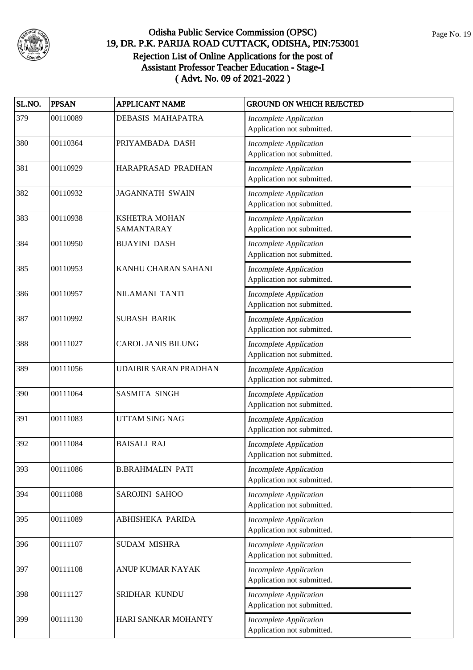

| SL.NO. | <b>PPSAN</b> | <b>APPLICANT NAME</b>              | <b>GROUND ON WHICH REJECTED</b>                             |
|--------|--------------|------------------------------------|-------------------------------------------------------------|
| 379    | 00110089     | DEBASIS MAHAPATRA                  | <b>Incomplete Application</b><br>Application not submitted. |
| 380    | 00110364     | PRIYAMBADA DASH                    | <b>Incomplete Application</b><br>Application not submitted. |
| 381    | 00110929     | HARAPRASAD PRADHAN                 | <b>Incomplete Application</b><br>Application not submitted. |
| 382    | 00110932     | <b>JAGANNATH SWAIN</b>             | <b>Incomplete Application</b><br>Application not submitted. |
| 383    | 00110938     | <b>KSHETRA MOHAN</b><br>SAMANTARAY | <b>Incomplete Application</b><br>Application not submitted. |
| 384    | 00110950     | <b>BIJAYINI DASH</b>               | <b>Incomplete Application</b><br>Application not submitted. |
| 385    | 00110953     | KANHU CHARAN SAHANI                | <b>Incomplete Application</b><br>Application not submitted. |
| 386    | 00110957     | NILAMANI TANTI                     | <b>Incomplete Application</b><br>Application not submitted. |
| 387    | 00110992     | <b>SUBASH BARIK</b>                | <b>Incomplete Application</b><br>Application not submitted. |
| 388    | 00111027     | <b>CAROL JANIS BILUNG</b>          | <b>Incomplete Application</b><br>Application not submitted. |
| 389    | 00111056     | <b>UDAIBIR SARAN PRADHAN</b>       | <b>Incomplete Application</b><br>Application not submitted. |
| 390    | 00111064     | <b>SASMITA SINGH</b>               | <b>Incomplete Application</b><br>Application not submitted. |
| 391    | 00111083     | UTTAM SING NAG                     | <b>Incomplete Application</b><br>Application not submitted. |
| 392    | 00111084     | <b>BAISALI RAJ</b>                 | <b>Incomplete Application</b><br>Application not submitted. |
| 393    | 00111086     | <b>B.BRAHMALIN PATI</b>            | <b>Incomplete Application</b><br>Application not submitted. |
| 394    | 00111088     | SAROJINI SAHOO                     | <b>Incomplete Application</b><br>Application not submitted. |
| 395    | 00111089     | ABHISHEKA PARIDA                   | <b>Incomplete Application</b><br>Application not submitted. |
| 396    | 00111107     | <b>SUDAM MISHRA</b>                | <b>Incomplete Application</b><br>Application not submitted. |
| 397    | 00111108     | ANUP KUMAR NAYAK                   | <b>Incomplete Application</b><br>Application not submitted. |
| 398    | 00111127     | SRIDHAR KUNDU                      | <b>Incomplete Application</b><br>Application not submitted. |
| 399    | 00111130     | HARI SANKAR MOHANTY                | <b>Incomplete Application</b><br>Application not submitted. |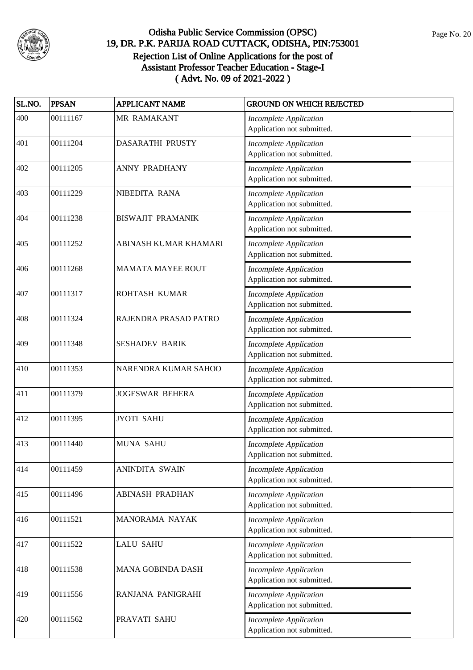

| SL.NO. | <b>PPSAN</b> | <b>APPLICANT NAME</b>    | <b>GROUND ON WHICH REJECTED</b>                             |
|--------|--------------|--------------------------|-------------------------------------------------------------|
| 400    | 00111167     | MR RAMAKANT              | <b>Incomplete Application</b><br>Application not submitted. |
| 401    | 00111204     | DASARATHI PRUSTY         | <b>Incomplete Application</b><br>Application not submitted. |
| 402    | 00111205     | <b>ANNY PRADHANY</b>     | <b>Incomplete Application</b><br>Application not submitted. |
| 403    | 00111229     | NIBEDITA RANA            | <b>Incomplete Application</b><br>Application not submitted. |
| 404    | 00111238     | <b>BISWAJIT PRAMANIK</b> | <b>Incomplete Application</b><br>Application not submitted. |
| 405    | 00111252     | ABINASH KUMAR KHAMARI    | <b>Incomplete Application</b><br>Application not submitted. |
| 406    | 00111268     | <b>MAMATA MAYEE ROUT</b> | <b>Incomplete Application</b><br>Application not submitted. |
| 407    | 00111317     | ROHTASH KUMAR            | <b>Incomplete Application</b><br>Application not submitted. |
| 408    | 00111324     | RAJENDRA PRASAD PATRO    | <b>Incomplete Application</b><br>Application not submitted. |
| 409    | 00111348     | <b>SESHADEV BARIK</b>    | <b>Incomplete Application</b><br>Application not submitted. |
| 410    | 00111353     | NARENDRA KUMAR SAHOO     | <b>Incomplete Application</b><br>Application not submitted. |
| 411    | 00111379     | <b>JOGESWAR BEHERA</b>   | <b>Incomplete Application</b><br>Application not submitted. |
| 412    | 00111395     | <b>JYOTI SAHU</b>        | <b>Incomplete Application</b><br>Application not submitted. |
| 413    | 00111440     | <b>MUNA SAHU</b>         | <b>Incomplete Application</b><br>Application not submitted. |
| 414    | 00111459     | ANINDITA SWAIN           | <b>Incomplete Application</b><br>Application not submitted. |
| 415    | 00111496     | <b>ABINASH PRADHAN</b>   | <b>Incomplete Application</b><br>Application not submitted. |
| 416    | 00111521     | MANORAMA NAYAK           | <b>Incomplete Application</b><br>Application not submitted. |
| 417    | 00111522     | <b>LALU SAHU</b>         | <b>Incomplete Application</b><br>Application not submitted. |
| 418    | 00111538     | MANA GOBINDA DASH        | <b>Incomplete Application</b><br>Application not submitted. |
| 419    | 00111556     | RANJANA PANIGRAHI        | <b>Incomplete Application</b><br>Application not submitted. |
| 420    | 00111562     | PRAVATI SAHU             | <b>Incomplete Application</b><br>Application not submitted. |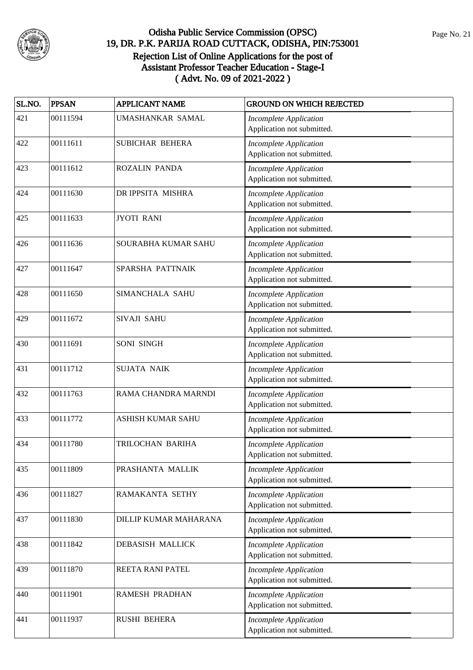

| SL.NO. | <b>PPSAN</b> | <b>APPLICANT NAME</b>    | <b>GROUND ON WHICH REJECTED</b>                             |
|--------|--------------|--------------------------|-------------------------------------------------------------|
| 421    | 00111594     | UMASHANKAR SAMAL         | <b>Incomplete Application</b><br>Application not submitted. |
| 422    | 00111611     | SUBICHAR BEHERA          | <b>Incomplete Application</b><br>Application not submitted. |
| 423    | 00111612     | <b>ROZALIN PANDA</b>     | <b>Incomplete Application</b><br>Application not submitted. |
| 424    | 00111630     | DR IPPSITA MISHRA        | <b>Incomplete Application</b><br>Application not submitted. |
| 425    | 00111633     | <b>JYOTI RANI</b>        | <b>Incomplete Application</b><br>Application not submitted. |
| 426    | 00111636     | SOURABHA KUMAR SAHU      | <b>Incomplete Application</b><br>Application not submitted. |
| 427    | 00111647     | SPARSHA PATTNAIK         | <b>Incomplete Application</b><br>Application not submitted. |
| 428    | 00111650     | <b>SIMANCHALA SAHU</b>   | <b>Incomplete Application</b><br>Application not submitted. |
| 429    | 00111672     | SIVAJI SAHU              | <b>Incomplete Application</b><br>Application not submitted. |
| 430    | 00111691     | SONI SINGH               | <b>Incomplete Application</b><br>Application not submitted. |
| 431    | 00111712     | <b>SUJATA NAIK</b>       | <b>Incomplete Application</b><br>Application not submitted. |
| 432    | 00111763     | RAMA CHANDRA MARNDI      | <b>Incomplete Application</b><br>Application not submitted. |
| 433    | 00111772     | <b>ASHISH KUMAR SAHU</b> | <b>Incomplete Application</b><br>Application not submitted. |
| 434    | 00111780     | TRILOCHAN BARIHA         | <b>Incomplete Application</b><br>Application not submitted. |
| 435    | 00111809     | PRASHANTA MALLIK         | <b>Incomplete Application</b><br>Application not submitted. |
| 436    | 00111827     | RAMAKANTA SETHY          | <b>Incomplete Application</b><br>Application not submitted. |
| 437    | 00111830     | DILLIP KUMAR MAHARANA    | <b>Incomplete Application</b><br>Application not submitted. |
| 438    | 00111842     | DEBASISH MALLICK         | <b>Incomplete Application</b><br>Application not submitted. |
| 439    | 00111870     | REETA RANI PATEL         | <b>Incomplete Application</b><br>Application not submitted. |
| 440    | 00111901     | RAMESH PRADHAN           | <b>Incomplete Application</b><br>Application not submitted. |
| 441    | 00111937     | <b>RUSHI BEHERA</b>      | <b>Incomplete Application</b><br>Application not submitted. |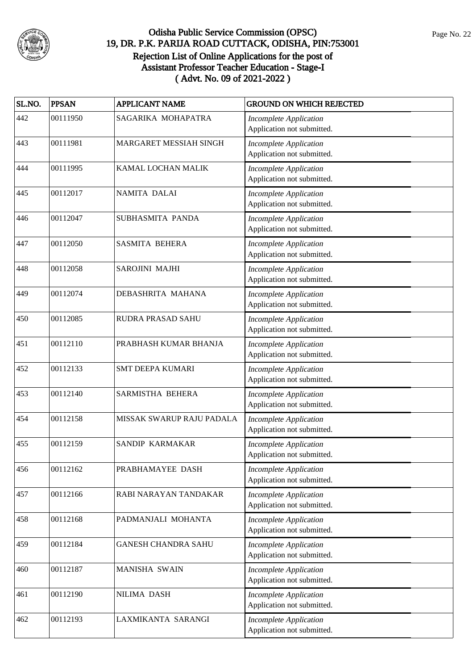

| SL.NO. | <b>PPSAN</b> | <b>APPLICANT NAME</b>      | <b>GROUND ON WHICH REJECTED</b>                             |
|--------|--------------|----------------------------|-------------------------------------------------------------|
| 442    | 00111950     | SAGARIKA MOHAPATRA         | <b>Incomplete Application</b><br>Application not submitted. |
| 443    | 00111981     | MARGARET MESSIAH SINGH     | <b>Incomplete Application</b><br>Application not submitted. |
| 444    | 00111995     | KAMAL LOCHAN MALIK         | <b>Incomplete Application</b><br>Application not submitted. |
| 445    | 00112017     | NAMITA DALAI               | <b>Incomplete Application</b><br>Application not submitted. |
| 446    | 00112047     | SUBHASMITA PANDA           | <b>Incomplete Application</b><br>Application not submitted. |
| 447    | 00112050     | <b>SASMITA BEHERA</b>      | <b>Incomplete Application</b><br>Application not submitted. |
| 448    | 00112058     | SAROJINI MAJHI             | <b>Incomplete Application</b><br>Application not submitted. |
| 449    | 00112074     | DEBASHRITA MAHANA          | <b>Incomplete Application</b><br>Application not submitted. |
| 450    | 00112085     | RUDRA PRASAD SAHU          | <b>Incomplete Application</b><br>Application not submitted. |
| 451    | 00112110     | PRABHASH KUMAR BHANJA      | <b>Incomplete Application</b><br>Application not submitted. |
| 452    | 00112133     | <b>SMT DEEPA KUMARI</b>    | <b>Incomplete Application</b><br>Application not submitted. |
| 453    | 00112140     | SARMISTHA BEHERA           | <b>Incomplete Application</b><br>Application not submitted. |
| 454    | 00112158     | MISSAK SWARUP RAJU PADALA  | <b>Incomplete Application</b><br>Application not submitted. |
| 455    | 00112159     | SANDIP KARMAKAR            | <b>Incomplete Application</b><br>Application not submitted. |
| 456    | 00112162     | PRABHAMAYEE DASH           | <b>Incomplete Application</b><br>Application not submitted. |
| 457    | 00112166     | RABI NARAYAN TANDAKAR      | <b>Incomplete Application</b><br>Application not submitted. |
| 458    | 00112168     | PADMANJALI MOHANTA         | <b>Incomplete Application</b><br>Application not submitted. |
| 459    | 00112184     | <b>GANESH CHANDRA SAHU</b> | <b>Incomplete Application</b><br>Application not submitted. |
| 460    | 00112187     | MANISHA SWAIN              | <b>Incomplete Application</b><br>Application not submitted. |
| 461    | 00112190     | NILIMA DASH                | <b>Incomplete Application</b><br>Application not submitted. |
| 462    | 00112193     | LAXMIKANTA SARANGI         | <b>Incomplete Application</b><br>Application not submitted. |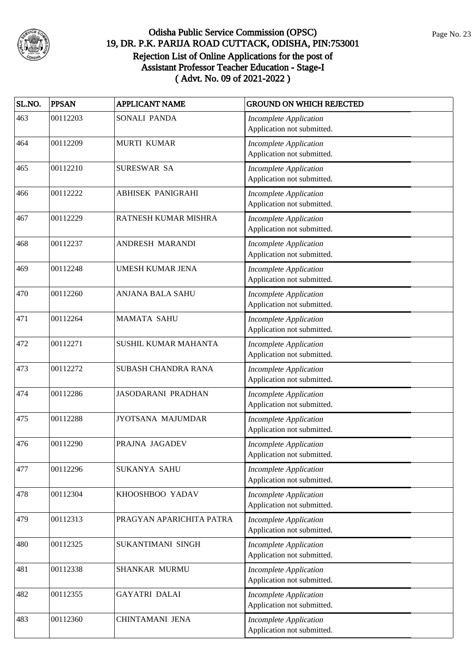

| SL.NO. | <b>PPSAN</b> | <b>APPLICANT NAME</b>     | <b>GROUND ON WHICH REJECTED</b>                             |
|--------|--------------|---------------------------|-------------------------------------------------------------|
| 463    | 00112203     | SONALI PANDA              | <b>Incomplete Application</b><br>Application not submitted. |
| 464    | 00112209     | MURTI KUMAR               | <b>Incomplete Application</b><br>Application not submitted. |
| 465    | 00112210     | SURESWAR SA               | <b>Incomplete Application</b><br>Application not submitted. |
| 466    | 00112222     | <b>ABHISEK PANIGRAHI</b>  | <b>Incomplete Application</b><br>Application not submitted. |
| 467    | 00112229     | RATNESH KUMAR MISHRA      | <b>Incomplete Application</b><br>Application not submitted. |
| 468    | 00112237     | ANDRESH MARANDI           | <b>Incomplete Application</b><br>Application not submitted. |
| 469    | 00112248     | UMESH KUMAR JENA          | <b>Incomplete Application</b><br>Application not submitted. |
| 470    | 00112260     | <b>ANJANA BALA SAHU</b>   | <b>Incomplete Application</b><br>Application not submitted. |
| 471    | 00112264     | <b>MAMATA SAHU</b>        | <b>Incomplete Application</b><br>Application not submitted. |
| 472    | 00112271     | SUSHIL KUMAR MAHANTA      | <b>Incomplete Application</b><br>Application not submitted. |
| 473    | 00112272     | SUBASH CHANDRA RANA       | <b>Incomplete Application</b><br>Application not submitted. |
| 474    | 00112286     | <b>JASODARANI PRADHAN</b> | <b>Incomplete Application</b><br>Application not submitted. |
| 475    | 00112288     | JYOTSANA MAJUMDAR         | <b>Incomplete Application</b><br>Application not submitted. |
| 476    | 00112290     | PRAJNA JAGADEV            | <b>Incomplete Application</b><br>Application not submitted. |
| 477    | 00112296     | SUKANYA SAHU              | <b>Incomplete Application</b><br>Application not submitted. |
| 478    | 00112304     | KHOOSHBOO YADAV           | <b>Incomplete Application</b><br>Application not submitted. |
| 479    | 00112313     | PRAGYAN APARICHITA PATRA  | <b>Incomplete Application</b><br>Application not submitted. |
| 480    | 00112325     | SUKANTIMANI SINGH         | <b>Incomplete Application</b><br>Application not submitted. |
| 481    | 00112338     | SHANKAR MURMU             | <b>Incomplete Application</b><br>Application not submitted. |
| 482    | 00112355     | <b>GAYATRI DALAI</b>      | <b>Incomplete Application</b><br>Application not submitted. |
| 483    | 00112360     | CHINTAMANI JENA           | <b>Incomplete Application</b><br>Application not submitted. |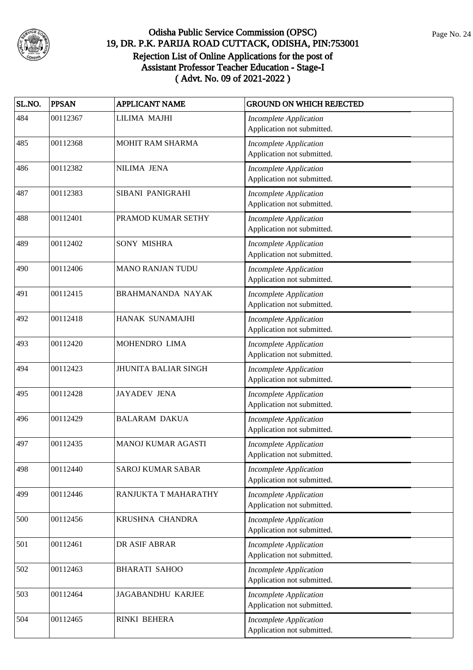

| SL.NO. | <b>PPSAN</b> | <b>APPLICANT NAME</b>       | <b>GROUND ON WHICH REJECTED</b>                             |
|--------|--------------|-----------------------------|-------------------------------------------------------------|
| 484    | 00112367     | LILIMA MAJHI                | <b>Incomplete Application</b><br>Application not submitted. |
| 485    | 00112368     | MOHIT RAM SHARMA            | <b>Incomplete Application</b><br>Application not submitted. |
| 486    | 00112382     | NILIMA JENA                 | <b>Incomplete Application</b><br>Application not submitted. |
| 487    | 00112383     | SIBANI PANIGRAHI            | <b>Incomplete Application</b><br>Application not submitted. |
| 488    | 00112401     | PRAMOD KUMAR SETHY          | <b>Incomplete Application</b><br>Application not submitted. |
| 489    | 00112402     | <b>SONY MISHRA</b>          | <b>Incomplete Application</b><br>Application not submitted. |
| 490    | 00112406     | <b>MANO RANJAN TUDU</b>     | <b>Incomplete Application</b><br>Application not submitted. |
| 491    | 00112415     | BRAHMANANDA NAYAK           | <b>Incomplete Application</b><br>Application not submitted. |
| 492    | 00112418     | HANAK SUNAMAJHI             | <b>Incomplete Application</b><br>Application not submitted. |
| 493    | 00112420     | MOHENDRO LIMA               | <b>Incomplete Application</b><br>Application not submitted. |
| 494    | 00112423     | <b>JHUNITA BALIAR SINGH</b> | <b>Incomplete Application</b><br>Application not submitted. |
| 495    | 00112428     | <b>JAYADEV JENA</b>         | <b>Incomplete Application</b><br>Application not submitted. |
| 496    | 00112429     | <b>BALARAM DAKUA</b>        | <b>Incomplete Application</b><br>Application not submitted. |
| 497    | 00112435     | <b>MANOJ KUMAR AGASTI</b>   | <b>Incomplete Application</b><br>Application not submitted. |
| 498    | 00112440     | <b>SAROJ KUMAR SABAR</b>    | <b>Incomplete Application</b><br>Application not submitted. |
| 499    | 00112446     | RANJUKTA T MAHARATHY        | <b>Incomplete Application</b><br>Application not submitted. |
| 500    | 00112456     | KRUSHNA CHANDRA             | <b>Incomplete Application</b><br>Application not submitted. |
| 501    | 00112461     | DR ASIF ABRAR               | <b>Incomplete Application</b><br>Application not submitted. |
| 502    | 00112463     | <b>BHARATI SAHOO</b>        | <b>Incomplete Application</b><br>Application not submitted. |
| 503    | 00112464     | JAGABANDHU KARJEE           | <b>Incomplete Application</b><br>Application not submitted. |
| 504    | 00112465     | RINKI BEHERA                | <b>Incomplete Application</b><br>Application not submitted. |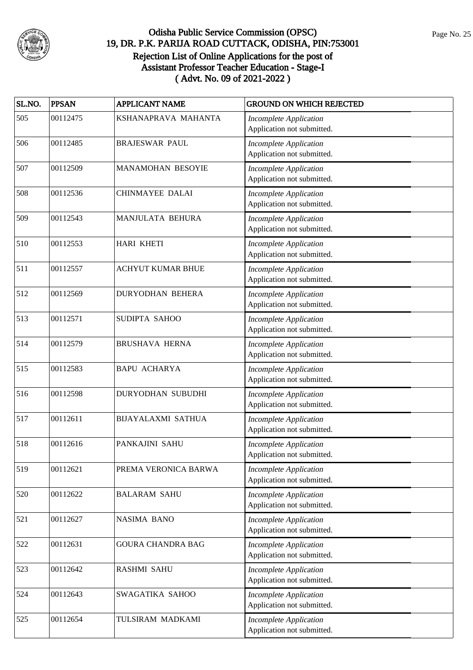

| SL.NO. | <b>PPSAN</b> | <b>APPLICANT NAME</b>     | <b>GROUND ON WHICH REJECTED</b>                             |
|--------|--------------|---------------------------|-------------------------------------------------------------|
| 505    | 00112475     | KSHANAPRAVA MAHANTA       | <b>Incomplete Application</b><br>Application not submitted. |
| 506    | 00112485     | <b>BRAJESWAR PAUL</b>     | <b>Incomplete Application</b><br>Application not submitted. |
| 507    | 00112509     | <b>MANAMOHAN BESOYIE</b>  | <b>Incomplete Application</b><br>Application not submitted. |
| 508    | 00112536     | <b>CHINMAYEE DALAI</b>    | <b>Incomplete Application</b><br>Application not submitted. |
| 509    | 00112543     | MANJULATA BEHURA          | <b>Incomplete Application</b><br>Application not submitted. |
| 510    | 00112553     | <b>HARI KHETI</b>         | <b>Incomplete Application</b><br>Application not submitted. |
| 511    | 00112557     | <b>ACHYUT KUMAR BHUE</b>  | <b>Incomplete Application</b><br>Application not submitted. |
| 512    | 00112569     | <b>DURYODHAN BEHERA</b>   | <b>Incomplete Application</b><br>Application not submitted. |
| 513    | 00112571     | SUDIPTA SAHOO             | Incomplete Application<br>Application not submitted.        |
| 514    | 00112579     | <b>BRUSHAVA HERNA</b>     | <b>Incomplete Application</b><br>Application not submitted. |
| 515    | 00112583     | <b>BAPU ACHARYA</b>       | <b>Incomplete Application</b><br>Application not submitted. |
| 516    | 00112598     | DURYODHAN SUBUDHI         | <b>Incomplete Application</b><br>Application not submitted. |
| 517    | 00112611     | <b>BIJAYALAXMI SATHUA</b> | <b>Incomplete Application</b><br>Application not submitted. |
| 518    | 00112616     | PANKAJINI SAHU            | <b>Incomplete Application</b><br>Application not submitted. |
| 519    | 00112621     | PREMA VERONICA BARWA      | <b>Incomplete Application</b><br>Application not submitted. |
| 520    | 00112622     | <b>BALARAM SAHU</b>       | <b>Incomplete Application</b><br>Application not submitted. |
| 521    | 00112627     | NASIMA BANO               | <b>Incomplete Application</b><br>Application not submitted. |
| 522    | 00112631     | <b>GOURA CHANDRA BAG</b>  | <b>Incomplete Application</b><br>Application not submitted. |
| 523    | 00112642     | <b>RASHMI SAHU</b>        | <b>Incomplete Application</b><br>Application not submitted. |
| 524    | 00112643     | SWAGATIKA SAHOO           | <b>Incomplete Application</b><br>Application not submitted. |
| 525    | 00112654     | TULSIRAM MADKAMI          | <b>Incomplete Application</b><br>Application not submitted. |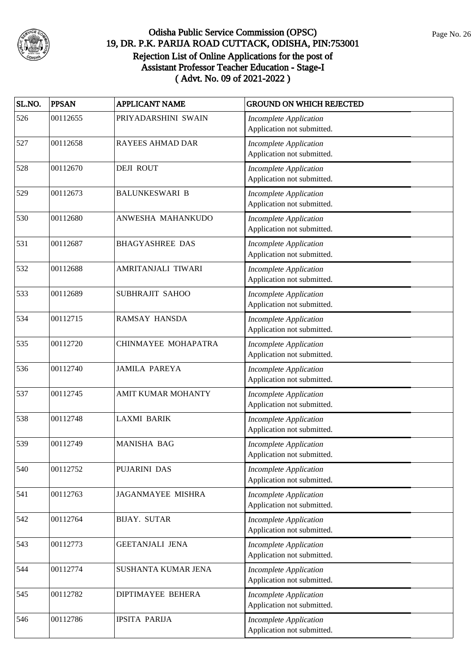

| SL.NO. | <b>PPSAN</b> | <b>APPLICANT NAME</b>    | <b>GROUND ON WHICH REJECTED</b>                             |
|--------|--------------|--------------------------|-------------------------------------------------------------|
| 526    | 00112655     | PRIYADARSHINI SWAIN      | <b>Incomplete Application</b><br>Application not submitted. |
| 527    | 00112658     | <b>RAYEES AHMAD DAR</b>  | <b>Incomplete Application</b><br>Application not submitted. |
| 528    | 00112670     | <b>DEJI ROUT</b>         | <b>Incomplete Application</b><br>Application not submitted. |
| 529    | 00112673     | <b>BALUNKESWARI B</b>    | <b>Incomplete Application</b><br>Application not submitted. |
| 530    | 00112680     | ANWESHA MAHANKUDO        | <b>Incomplete Application</b><br>Application not submitted. |
| 531    | 00112687     | <b>BHAGYASHREE DAS</b>   | <b>Incomplete Application</b><br>Application not submitted. |
| 532    | 00112688     | AMRITANJALI TIWARI       | <b>Incomplete Application</b><br>Application not submitted. |
| 533    | 00112689     | SUBHRAJIT SAHOO          | <b>Incomplete Application</b><br>Application not submitted. |
| 534    | 00112715     | <b>RAMSAY HANSDA</b>     | <b>Incomplete Application</b><br>Application not submitted. |
| 535    | 00112720     | CHINMAYEE MOHAPATRA      | <b>Incomplete Application</b><br>Application not submitted. |
| 536    | 00112740     | <b>JAMILA PAREYA</b>     | <b>Incomplete Application</b><br>Application not submitted. |
| 537    | 00112745     | AMIT KUMAR MOHANTY       | <b>Incomplete Application</b><br>Application not submitted. |
| 538    | 00112748     | <b>LAXMI BARIK</b>       | <b>Incomplete Application</b><br>Application not submitted. |
| 539    | 00112749     | <b>MANISHA BAG</b>       | <b>Incomplete Application</b><br>Application not submitted. |
| 540    | 00112752     | PUJARINI DAS             | <b>Incomplete Application</b><br>Application not submitted. |
| 541    | 00112763     | <b>JAGANMAYEE MISHRA</b> | <b>Incomplete Application</b><br>Application not submitted. |
| 542    | 00112764     | <b>BIJAY. SUTAR</b>      | <b>Incomplete Application</b><br>Application not submitted. |
| 543    | 00112773     | <b>GEETANJALI JENA</b>   | <b>Incomplete Application</b><br>Application not submitted. |
| 544    | 00112774     | SUSHANTA KUMAR JENA      | <b>Incomplete Application</b><br>Application not submitted. |
| 545    | 00112782     | DIPTIMAYEE BEHERA        | <b>Incomplete Application</b><br>Application not submitted. |
| 546    | 00112786     | <b>IPSITA PARIJA</b>     | <b>Incomplete Application</b><br>Application not submitted. |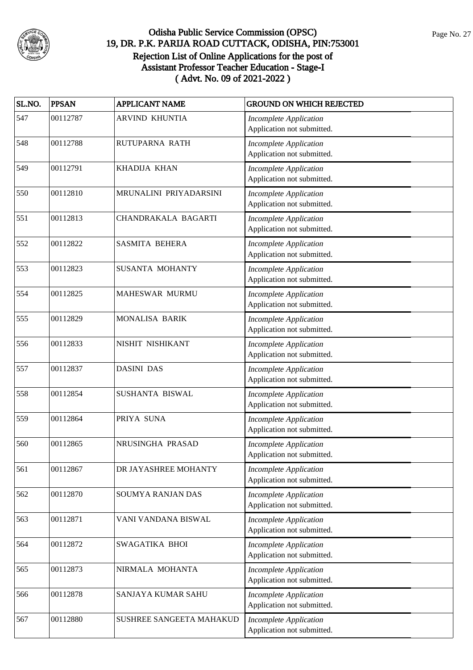

| SL.NO. | <b>PPSAN</b> | <b>APPLICANT NAME</b>    | <b>GROUND ON WHICH REJECTED</b>                             |
|--------|--------------|--------------------------|-------------------------------------------------------------|
| 547    | 00112787     | <b>ARVIND KHUNTIA</b>    | <b>Incomplete Application</b><br>Application not submitted. |
| 548    | 00112788     | RUTUPARNA RATH           | <b>Incomplete Application</b><br>Application not submitted. |
| 549    | 00112791     | <b>KHADIJA KHAN</b>      | <b>Incomplete Application</b><br>Application not submitted. |
| 550    | 00112810     | MRUNALINI PRIYADARSINI   | <b>Incomplete Application</b><br>Application not submitted. |
| 551    | 00112813     | CHANDRAKALA BAGARTI      | <b>Incomplete Application</b><br>Application not submitted. |
| 552    | 00112822     | <b>SASMITA BEHERA</b>    | <b>Incomplete Application</b><br>Application not submitted. |
| 553    | 00112823     | <b>SUSANTA MOHANTY</b>   | <b>Incomplete Application</b><br>Application not submitted. |
| 554    | 00112825     | MAHESWAR MURMU           | <b>Incomplete Application</b><br>Application not submitted. |
| 555    | 00112829     | MONALISA BARIK           | Incomplete Application<br>Application not submitted.        |
| 556    | 00112833     | NISHIT NISHIKANT         | <b>Incomplete Application</b><br>Application not submitted. |
| 557    | 00112837     | <b>DASINI DAS</b>        | <b>Incomplete Application</b><br>Application not submitted. |
| 558    | 00112854     | SUSHANTA BISWAL          | <b>Incomplete Application</b><br>Application not submitted. |
| 559    | 00112864     | PRIYA SUNA               | <b>Incomplete Application</b><br>Application not submitted. |
| 560    | 00112865     | NRUSINGHA PRASAD         | <b>Incomplete Application</b><br>Application not submitted. |
| 561    | 00112867     | DR JAYASHREE MOHANTY     | <b>Incomplete Application</b><br>Application not submitted. |
| 562    | 00112870     | SOUMYA RANJAN DAS        | <b>Incomplete Application</b><br>Application not submitted. |
| 563    | 00112871     | VANI VANDANA BISWAL      | <b>Incomplete Application</b><br>Application not submitted. |
| 564    | 00112872     | SWAGATIKA BHOI           | <b>Incomplete Application</b><br>Application not submitted. |
| 565    | 00112873     | NIRMALA MOHANTA          | <b>Incomplete Application</b><br>Application not submitted. |
| 566    | 00112878     | SANJAYA KUMAR SAHU       | <b>Incomplete Application</b><br>Application not submitted. |
| 567    | 00112880     | SUSHREE SANGEETA MAHAKUD | <b>Incomplete Application</b><br>Application not submitted. |